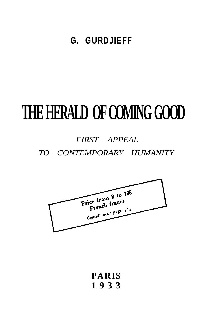### **G. GURDJIEFF**

# THE HERALD OF COMING GOOD

#### *FIRST APPEAL*

#### *TO CONTEMPORARY HUMANITY*



**PARIS 193 3**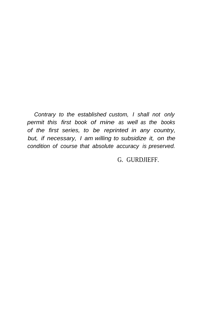*Contrary to the established custom, I shall not only permit this first book of mine as well as the books of the first series, to be reprinted in any country, but, if necessary, I am willing to subsidize it, on the condition of course that absolute accuracy is preserved.* 

G. GURDJIEFF.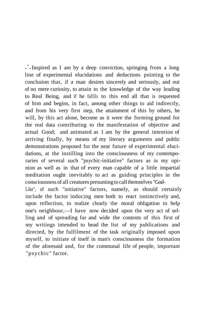\* \* \* Inspired as I am by a deep conviction, springing from a long line of experimental elucidations and deductions pointing to the conclusion that, if a man desires sincerely and seriously, and out of no mere curiosity, to attain to the knowledge of the way leading to Real Being, and if he fulfils to this end all that is requested of him and begins, in fact, among other things to aid indirectly, and from his very first step, the attainment of this by others, he will, by this act alone, become as it were the forming ground for the real data contributing to the manifestation of objective and actual Good; and animated as I am by the general intention of arriving finally, by means of my literary arguments and public demonstrations proposed for the near future of experimental elucidations, at the instilling into the consciousness of my contemporaries of several such "psychic-initiative" factors as in my opinion as well as in that of every man capable of a little impartial meditation ought inevitably to act as guiding principles in the consciousness of all creatures presuming to call themselves "God-

Like", of such "initiative" factors, namely, as should certainly include the factor inducing men both to react instinctively and, upon reflection, to realize clearly the moral obligation to help one's neighbour,—I have now decided upon the very act of selling and of spreading far and wide the contents of this first of my writings intended to head the list of my publications and directed, by the fulfilment of the task originally imposed upon myself, to initiate of itself in man's consciousness the formation of the aforesaid and, for the communal life of people, important "psychic" factor.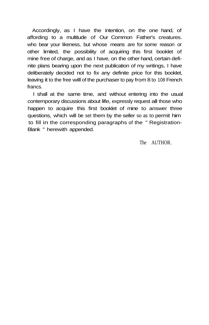Accordingly, as I have the intention, on the one hand, of affording to a multitude of Our Common Father's creatures. who bear your likeness, but whose means are for some reason or other limited, the possibility of acquiring this first booklet of mine free of charge, and as I have, on the other hand, certain definite plans bearing upon the next publication of my writings, I have deliberately decided not to fix any definite price for this booklet, leaving it to the free will of the purchaser to pay from 8 to 108 French francs.

I shall at the same time, and without entering into the usual contemporary discussions about life, expressly request all those who happen to acquire this first booklet of mine to answer three questions, which will be set them by the seller so as to permit him to fill in the corresponding paragraphs of the " Registration-Blank " herewith appended.

The AUTHOR.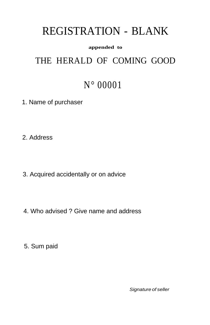# REGISTRATION - BLANK

#### **appended to**

## THE HERALD OF COMING GOOD

### N° 00001

1. Name of purchaser

2. Address

3. Acquired accidentally or on advice

4. Who advised ? Give name and address

5. Sum paid

*Signature of seller*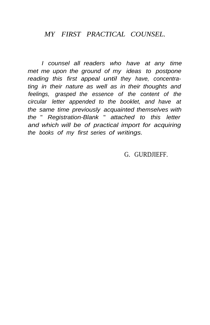*I counsel all readers who have at any time met me upon the ground of my ideas to postpone reading this first appeal until they have, concentrating in their nature as well as in their thoughts and feelings, grasped the essence of the content of the circular letter appended to the booklet, and have at the same time previously acquainted themselves with the* " *Registration-Blank* " *attached to this letter and which will be of practical import for acquiring the books of my first series of writings.* 

G. GURDJIEFF.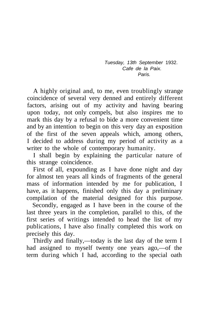*Tuesday, 13th September* 1932. *Cafe de la Paix. Paris.* 

A highly original and, to me, even troublingly strange coincidence of several very denned and entirely different factors, arising out of my activity and having bearing upon today, not only compels, but also inspires me to mark this day by a refusal to bide a more convenient time and by an intention to begin on this very day an exposition of the first of the seven appeals which, among others, I decided to address during my period of activity as a writer to the whole of contemporary humanity.

I shall begin by explaining the particular nature of this strange coincidence.

First of all, expounding as I have done night and day for almost ten years all kinds of fragments of the general mass of information intended by me for publication, I have, as it happens, finished only this day a preliminary compilation of the material designed for this purpose.

Secondly, engaged as I have been in the course of the last three years in the completion, parallel to this, of the first series of writings intended to head the list of my publications, I have also finally completed this work on precisely this day.

Thirdly and finally,—today is the last day of the term I had assigned to myself twenty one years ago,—of the term during which I had, according to the special oath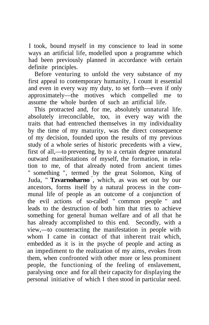I took, bound myself in my conscience to lead in some ways an artificial life, modelled upon a programme which had been previously planned in accordance with certain definite principles.

Before venturing to unfold the very substance of my first appeal to contemporary humanity, I count it essential and even in every way my duty, to set forth—even if only approximately—the motives which compelled me to assume the whole burden of such an artificial life.

This protracted and, for me, absolutely unnatural life. absolutely irreconcilable, too, in every way with the traits that had entrenched themselves in my individuality by the time of my maturity, was the direct consequence of my decision, founded upon the results of my previous study of a whole series of historic precedents with a view, first of all,—to preventing, by to a certain degree unnatural outward manifestations of myself, the formation, in relation to me, of that already noted from ancient times " something ", termed by the great Solomon, King of " Juda, " **Tzvarnoharno** , which, as was set out by our ancestors, forms itself by a natural process in the communal life of people as an outcome of a conjunction of the evil actions of so-called " common people " and leads to the destruction of both him that tries to achieve something for general human welfare and of all that he has already accomplished to this end. Secondly, with a view,—to counteracting the manifestation in people with whom I came in contact of that inherent trait which, embedded as it is in the psyche of people and acting as an impediment to the realization of my aims, evokes from them, when confronted with other more or less prominent people, the functioning of the feeling of enslavement, paralysing once and for all their capacity for displaying the personal initiative of which I then stood in particular need.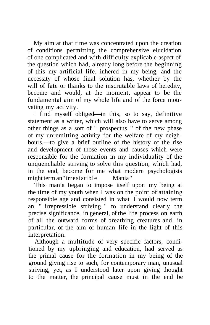My aim at that time was concentrated upon the creation of conditions permitting the comprehensive elucidation of one complicated and with difficulty explicable aspect of the question which had, already long before the beginning of this my artificial life, inhered in my being, and the necessity of whose final solution has, whether by the will of fate or thanks to the inscrutable laws of heredity, become and would, at the moment, appear to be the fundamental aim of my whole life and of the force motivating my activity.

I find myself obliged—in this, so to say, definitive statement as a writer, which will also have to serve among other things as a sort of " prospectus '' of the new phase of my unremitting activity for the welfare of my neighbours,—to give a brief outline of the history of the rise and development of those events and causes which were responsible for the formation in my individuality of the unquenchable striving to solve this question, which had, in the end, become for me what modern psychologists might term an "irresistible Mania"

This mania began to impose itself upon my being at the time of my youth when I was on the point of attaining responsible age and consisted in what I would now term an " irrepressible striving " to understand clearly the precise significance, in general, of the life process on earth of all the outward forms of breathing creatures and, in particular, of the aim of human life in the light of this interpretation.

Although a multitude of very specific factors, conditioned by my upbringing and education, had served as the primal cause for the formation in my being of the ground giving rise to such, for contemporary man, unusual striving, yet, as I understood later upon giving thought to the matter, the principal cause must in the end be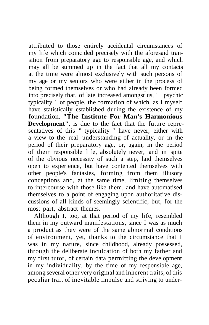attributed to those entirely accidental circumstances of my life which coincided precisely with the aforesaid transition from preparatory age to responsible age, and which may all be summed up in the fact that all my contacts at the time were almost exclusively with such persons of my age or my seniors who were either in the process of being formed themselves or who had already been formed into precisely that, of late increased amongst us, " psychic typicality " of people, the formation of which, as I myself have statistically established during the existence of my foundation, **"The Institute For Man's Harmonious Development"**, is due to the fact that the future representatives of this " typicality " have never, either with a view to the real understanding of actuality, or in the period of their preparatory age, or, again, in the period of their responsible life, absolutely never, and in spite of the obvious necessity of such a step, laid themselves open to experience, but have contented themselves with other people's fantasies, forming from them illusory conceptions and, at the same time, limiting themselves to intercourse with those like them, and have automatised themselves to a point of engaging upon authoritative discussions of all kinds of seemingly scientific, but, for the most part, abstract themes.

Although I, too, at that period of my life, resembled them in my outward manifestations, since I was as much a product as they were of the same abnormal conditions of environment, yet, thanks to the circumstance that I was in my nature, since childhood, already possessed, through the deliberate inculcation of both my father and my first tutor, of certain data permitting the development in my individuality, by the time of my responsible age, among several other very original and inherent traits, of this peculiar trait of inevitable impulse and striving to under-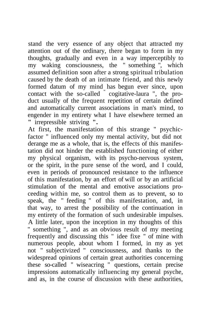stand the very essence of any object that attracted my attention out of the ordinary, there began to form in my thoughts, gradually and even in a way imperceptibly to my waking consciousness, the " something ", which assumed definition soon after a strong spiritual tribulation caused by the death of an intimate friend, and this newly formed datum of my mind has begun ever since, upon contact with the so-called cogitative-laura ", the product usually of the frequent repetition of certain defined and automatically current associations in man's mind, to engender in my entirety what I have elsewhere termed an **"** irrepressible striving **".** 

At first, the manifestation of this strange " psychic factor " influenced only my mental activity, but did not derange me as a whole, that is, the effects of this manifestation did not hinder the established functioning of either my physical organism, with its psycho-nervous system, or the spirit, in the pure sense of the word, and I could, even in periods of pronounced resistance to the influence of this manifestation, by an effort of will or by an artificial stimulation of the mental and emotive associations proceeding within me, so control them as to prevent, so to speak, the " feeding " of this manifestation, and, in that way, to arrest the possibility of the continuation in my entirety of the formation of such undesirable impulses. A little later, upon the inception in my thoughts of this frequently and discussing this " idee fixe '' of mine with " something ", and as an obvious result of my meeting numerous people, about whom I formed, in my as yet not " subjectivized " consciousness, and thanks to the widespread opinions of certain great authorities concerning these so-called " wiseacring " questions, certain precise impressions automatically influencing my general psyche, and as, in the course of discussion with these authorities,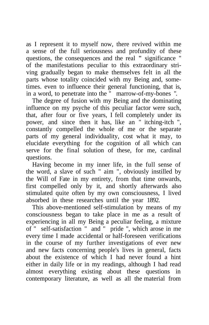as I represent it to myself now, there revived within me a sense of the full seriousness and profundity of these questions, the consequences and the real **"** significance " of the manifestations peculiar to this extraordinary striving gradually began to make themselves felt in all the parts whose totality coincided with my Being and, sometimes. even to influence their general functioning, that is, in a word, to penetrate into the " marrow-of-my-bones ".

The degree of fusion with my Being and the dominating influence on my psyche of this peculiar factor were such, that, after four or five years, I fell completely under its power, and since then it has, like an " itching-itch ", constantly compelled the whole of me or the separate parts of my general individuality, cost what it may, to elucidate everything for the cognition of all which can serve for the final solution of these, for me, cardinal questions.

Having become in my inner life, in the full sense of the word, a slave of such " aim ", obviously instilled by the Will of Fate in my entirety, from that time onwards, first compelled only by it, and shortly afterwards also stimulated quite often by my own consciousness, I lived absorbed in these researches until the year 1892.

This above-mentioned self-stimulation by means of my consciousness began to take place in me as a result of experiencing in all my Being a peculiar feeling, a mixture of " self-satisfaction " and " pride '', which arose in me every time I made accidental or half-foreseen verifications in the course of my further investigations of ever new and new facts concerning people's lives in general, facts about the existence of which I had never found a hint either in daily life or in my readings, although I had read almost everything existing about these questions in contemporary literature, as well as all the material from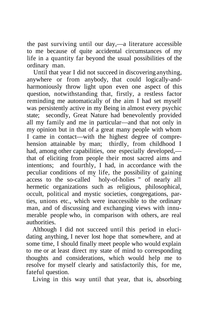the past surviving until our day,—a literature accessible to me because of quite accidental circumstances of my life in a quantity far beyond the usual possibilities of the ordinary man.

Until that year I did not succeed in discovering anything, anywhere or from anybody, that could logically-andharmoniously throw light upon even one aspect of this question, notwithstanding that, firstly, a restless factor reminding me automatically of the aim I had set myself was persistently active in my Being in almost every psychic state; secondly, Great Nature had benevolently provided all my family and me in particular—and that not only in my opinion but in that of a great many people with whom I came in contact—with the highest degree of comprehension attainable by man; thirdly, from childhood I had, among other capabilities, one especially developed, that of eliciting from people their most sacred aims and intentions; and fourthly, I had, in accordance with the peculiar conditions of my life, the possibility of gaining access to the so-called holy-of-holies " of nearly all hermetic organizations such as religious, philosophical, occult, political and mystic societies, congregations, parties, unions etc., which were inaccessible to the ordinary man, and of discussing and exchanging views with innumerable people who, in comparison with others, are real authorities.

Although I did not succeed until this period in elucidating anything, I never lost hope that somewhere, and at some time, I should finally meet people who would explain to me or at least direct my state of mind to corresponding thoughts and considerations, which would help me to resolve for myself clearly and satisfactorily this, for me, fateful question.

Living in this way until that year, that is, absorbing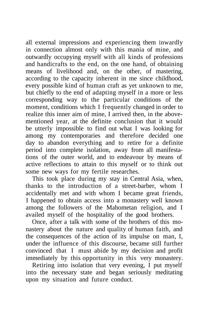all external impressions and experiencing them inwardly in connection almost only with this mania of mine, and outwardly occupying myself with all kinds of professions and handicrafts to the end, on the one hand, of obtaining means of livelihood and, on the other, of mastering, according to the capacity inherent in me since childhood, every possible kind of human craft as yet unknown to me, but chiefly to the end of adapting myself in a more or less corresponding way to the particular conditions of the moment, conditions which I frequently changed in order to realize this inner aim of mine, I arrived then, in the abovementioned year, at the definite conclusion that it would be utterly impossible to find out what I was looking for among my contemporaries and therefore decided one day to abandon everything and to retire for a definite period into complete isolation, away from all manifestations of the outer world, and to endeavour by means of active reflections to attain to this myself or to think out some new ways for my fertile researches.

This took place during my stay in Central Asia, when, thanks to the introduction of a street-barber, whom I accidentally met and with whom I became great friends, I happened to obtain access into a monastery well known among the followers of the Mahometan religion, and I availed myself of the hospitality of the good brothers.

Once, after a talk with some of the brothers of this monastery about the nature and quality of human faith, and the consequences of the action of its impulse on man, I, under the influence of this discourse, became still further convinced that I must abide by my decision and profit immediately by this opportunity in this very monastery.

Retiring into isolation that very evening, I put myself into the necessary state and began seriously meditating upon my situation and future conduct.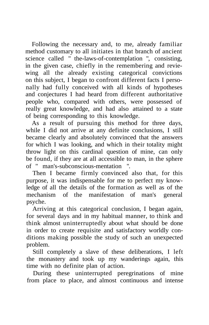Following the necessary and, to me, already familiar method customary to all initiates in that branch of ancient science called " the-laws-of-contemplation ", consisting, in the given case, chiefly in the remembering and reviewing all the already existing categorical convictions on this subject, I began to confront different facts I personally had fully conceived with all kinds of hypotheses and conjectures I had heard from different authoritative people who, compared with others, were possessed of really great knowledge, and had also attained to a state of being corresponding to this knowledge.

As a result of pursuing this method for three days, while I did not arrive at any definite conclusions, I still became clearly and absolutely convinced that the answers for which I was looking, and which in their totality might throw light on this cardinal question of mine, can only be found, if they are at all accessible to man, in the sphere of " man's-subconscious-mentation ".

Then I became firmly convinced also that, for this purpose, it was indispensable for me to perfect my knowledge of all the details of the formation as well as of the mechanism of the manifestation of man's general psyche.

Arriving at this categorical conclusion, I began again, for several days and in my habitual manner, to think and think almost uninterruptedly about what should be done in order to create requisite and satisfactory worldly conditions making possible the study of such an unexpected problem.

Still completely a slave of these deliberations, I left the monastery and took up my wanderings again, this time with no definite plan of action.

During these uninterrupted peregrinations of mine from place to place, and almost continuous and intense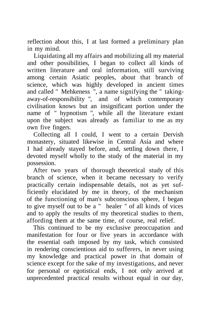reflection about this, I at last formed a preliminary plan in my mind.

Liquidating all my affairs and mobilizing all my material and other possibilities, I began to collect all kinds of written literature and oral information, still surviving among certain Asiatic peoples, about that branch of science, which was highly developed in ancient times and called '' Mehkeness '', a name signifying the '' takingaway-of-responsibility ", and of which contemporary civilisation knows but an insignificant portion under the name of " hypnotism ", while all the literature extant upon the subject was already as familiar to me as my own five fingers.

Collecting all I could, I went to a certain Dervish monastery, situated likewise in Central Asia and where I had already stayed before, and, settling down there, I devoted myself wholly to the study of the material in my possession.

After two years of thorough theoretical study of this branch of science, when it became necessary to verify practically certain indispensable details, not as yet sufficiently elucidated by me in theory, of the mechanism of the functioning of man's subconscious sphere, I began to give myself out to be a " healer '' of all kinds of vices and to apply the results of my theoretical studies to them, affording them at the same time, of course, real relief.

This continued to be my exclusive preoccupation and manifestation for four or five years in accordance with the essential oath imposed by my task, which consisted in rendering conscientious aid to sufferers, in never using my knowledge and practical power in that domain of science except for the sake of my investigations, and never for personal or egotistical ends, I not only arrived at unprecedented practical results without equal in our day,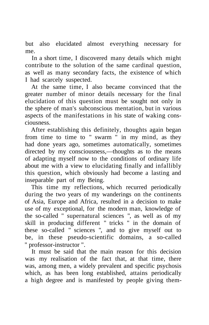but also elucidated almost everything necessary for me.

In a short time, I discovered many details which might contribute to the solution of the same cardinal question, as well as many secondary facts, the existence of which I had scarcely suspected.

At the same time, I also became convinced that the greater number of minor details necessary for the final elucidation of this question must be sought not only in the sphere of man's subconscious mentation, but in various aspects of the manifestations in his state of waking consciousness.

After establishing this definitely, thoughts again began from time to time to " swarm " in my mind, as they had done years ago, sometimes automatically, sometimes directed by my consciousness,—thoughts as to the means of adapting myself now to the conditions of ordinary life about me with a view to elucidating finally and infallibly this question, which obviously had become a lasting and inseparable part of my Being.

This time my reflections, which recurred periodically during the two years of my wanderings on the continents of Asia, Europe and Africa, resulted in a decision to make use of my exceptional, for the modern man, knowledge of the so-called " supernatural sciences ", as well as of my skill in producing different " tricks " in the domain of these so-called " sciences ", and to give myself out to be, in these pseudo-scientific domains, a so-called " professor-instructor ".

It must be said that the main reason for this decision was my realisation of the fact that, at that time, there was, among men, a widely prevalent and specific psychosis which, as has been long established, attains periodically a high degree and is manifested by people giving them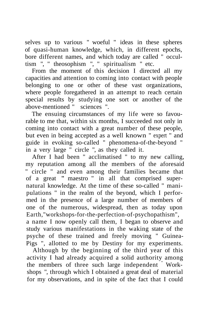selves up to various " woeful " ideas in these spheres of quasi-human knowledge, which, in different epochs, bore different names, and which today are called " occultism ", " theosophism ", " spiritualism " etc.

From the moment of this decision I directed all my capacities and attention to coming into contact with people belonging to one or other of these vast organizations, where people foregathered in an attempt to reach certain special results by studying one sort or another of the above-mentioned " sciences ''.

The ensuing circumstances of my life were so favourable to me that, within six months, I succeeded not only in coming into contact with a great number of these people, but even in being accepted as a well known " expert " and guide in evoking so-called " phenomena-of-the-beyond " in a very large " circle ", as they called it.

After I had been " acclimatised " to my new calling, my reputation among all the members of the aforesaid " circle " and even among their families became that of a great **"** maestro " in all that comprised supernatural knowledge. At the time of these so-called " manipulations " in the realm of the beyond, which I performed in the presence of a large number of members of one of the numerous, widespread, then as today upon Earth,"workshops-for-the-perfection-of-psychopathism", a name I now openly call them, I began to observe and study various manifestations in the waking state of the psyche of these trained and freely moving " Guinea-Pigs ", allotted to me by Destiny for my experiments.

Although by the beginning of the third year of this activity I had already acquired a solid authority among the members of three such large independent Workshops ", through which I obtained a great deal of material for my observations, and in spite of the fact that I could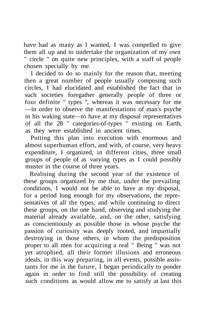have had as many as I wanted, I was compelled to give them all up and to undertake the organization of my own " circle " on quite new principles, with a staff of people chosen specially by me.

I decided to do so mainly for the reason that, meeting then a great number of people usually composing such circles, I had elucidated and established the fact that in such societies foregather generally people of three or four definite " types ", whereas it was necessary for me —in order to observe the manifestations of man's psyche in his waking state—to have at my disposal representatives of all the 28 " categories-of-types " existing on Earth, as they were established in ancient times.

Putting this plan into execution with enormous and almost superhuman effort, and with, of course, very heavy expenditure, I organized, in different cities, three small groups of people of as varying types as I could possibly muster in the course of three years.

Realising during the second year of the existence of these groups organized by me that, under the prevailing conditions, I would not be able to have at my disposal, for a period long enough for my observations, the representatives of all the types, and while continuing to direct these groups, on the one hand, observing and studying the material already available, and, on the other, satisfying as conscientiously as possible those in whose psyche the passion of curiosity was deeply rooted, and impartially destroying in those others, in whom the predisposition proper to all men for acquiring a real '' Being '' was not yet atrophied, all their former illusions and erroneous ideals, in this way preparing, in all events, possible assistants for me in the future, I began periodically to ponder again in order to find still the possibility of creating such conditions as would allow me to satisfy at last this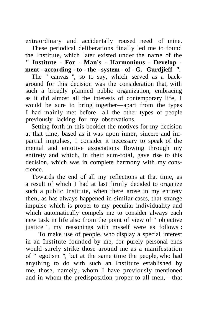extraordinary and accidentally roused need of mine.

These periodical deliberations finally led me to found the Institute, which later existed under the name of the **" Institute - For - Man's - Harmonious - Develop ment - according - to - the - system - of - G. Gurdjieff ".** 

The " canvas ", so to say, which served as a background for this decision was the consideration that, with such a broadly planned public organization, embracing as it did almost all the interests of contemporary life, I would be sure to bring together—apart from the types I had mainly met before—all the other types of people previously lacking for my observations.

Setting forth in this booklet the motives for my decision at that time, based as it was upon inner, sincere and impartial impulses, I consider it necessary to speak of the mental and emotive associations flowing through my entirety and which, in their sum-total, gave rise to this decision, which was in complete harmony with my conscience.

Towards the end of all my reflections at that time, as a result of which I had at last firmly decided to organize such a public Institute, when there arose in my entirety then, as has always happened in similar cases, that strange impulse which is proper to my peculiar individuality and which automatically compels me to consider always each new task in life also from the point of view of " objective justice ", my reasonings with myself were as follows :

To make use of people, who display a special interest in an Institute founded by me, for purely personal ends would surely strike those around me as a manifestation of '' egotism '', but at the same time the people, who had anything to do with such an Institute established by me, those, namely, whom I have previously mentioned and in whom the predisposition proper to all men,—that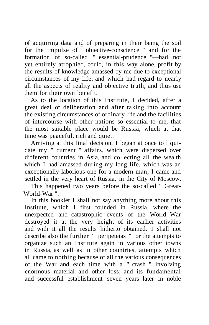of acquiring data and of preparing in their being the soil for the impulse of  $\degree$  objective-conscience  $\degree$  and for the formation of so-called " essential-prudence "—had not yet entirely atrophied, could, in this way alone, profit by the results of knowledge amassed by me due to exceptional circumstances of my life, and which had regard to nearly all the aspects of reality and objective truth, and thus use them for their own benefit.

As to the location of this Institute, I decided, after a great deal of deliberation and after taking into account the existing circumstances of ordinary life and the facilities of intercourse with other nations so essential to me, that the most suitable place would be Russia, which at that time was peaceful, rich and quiet.

Arriving at this final decision, I began at once to liquidate my " current " affairs, which were dispersed over different countries in Asia, and collecting all the wealth which I had amassed during my long life, which was an exceptionally laborious one for a modern man, I came and settled in the very heart of Russia, in the City of Moscow.

This happened two years before the so-called " Great-World-War ".

In this booklet I shall not say anything more about this Institute, which I first founded in Russia, where the unexpected and catastrophic events of the World War destroyed it at the very height of its earlier activities and with it all the results hitherto obtained. I shall not describe also the further " peripeteias " or the attempts to organize such an Institute again in various other towns in Russia, as well as in other countries, attempts which all came to nothing because of all the various consequences of the War and each time with a " crash " involving enormous material and other loss; and its fundamental and successful establishment seven years later in noble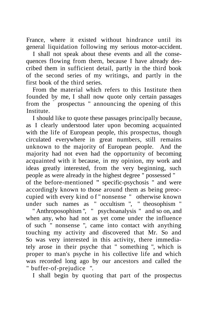France, where it existed without hindrance until its general liquidation following my serious motor-accident.

I shall not speak about these events and all the consequences flowing from them, because I have already described them in sufficient detail, partly in the third book of the second series of my writings, and partly in the first book of the third series.

From the material which refers to this Institute then founded by me, I shall now quote only certain passages from the prospectus " announcing the opening of this Institute.

I should like to quote these passages principally because, as I clearly understood later upon becoming acquainted with the life of European people, this prospectus, though circulated everywhere in great numbers, still remains unknown to the majority of European people. And the majority had not even had the opportunity of becoming acquainted with it because, in my opinion, my work and ideas greatly interested, from the very beginning, such people as were already in the highest degree '' possessed " of the before-mentioned **"** specific-psychosis " and were accordingly known to those around them as being preoccupied with every kind o f '' nonsense " otherwise known under such names as " occultism ", " theosophism "

" Anthroposophism", " psychoanalysis " and so on, and when any, who had not as yet come under the influence of such " nonsense ", came into contact with anything touching my activity and discovered that Mr. So and So was very interested in this activity, there immediately arose in their psyche that " something ", which is proper to man's psyche in his collective life and which was recorded long ago by our ancestors and called the " buffer-of-prejudice ".

I shall begin by quoting that part of the prospectus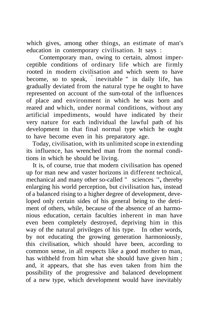which gives, among other things, an estimate of man's education in contemporary civilisation. It says :

Contemporary man, owing to certain, almost imperceptible conditions of ordinary life which are firmly rooted in modern civilisation and which seem to have become, so to speak, " inevitable " in daily life, has gradually deviated from the natural type he ought to have represented on account of the sum-total of the influences of place and environment in which he was born and reared and which, under normal conditions, without any artificial impediments, would have indicated by their very nature for each individual the lawful path of his development in that final normal type which he ought to have become even in his preparatory age.

Today, civilisation, with its unlimited scope in extending its influence, has wrenched man from the normal conditions in which he should be living.

It is, of course, true that modern civilisation has opened up for man new and vaster horizons in different technical, mechanical and many other so-called " sciences '**',** thereby enlarging his world perception, but civilisation has, instead of a balanced rising to a higher degree of development, developed only certain sides of his general being to the detriment of others, while, because of the absence of an harmonious education, certain faculties inherent in man have even been completely destroyed, depriving him in this way of the natural privileges of his type. In other words, by not educating the growing generation harmoniously, this civilisation, which should have been, according to common sense, in all respects like a good mother to man, has withheld from him what she should have given him ; and, it appears, that she has even taken from him the possibility of the progressive and balanced development of a new type, which development would have inevitably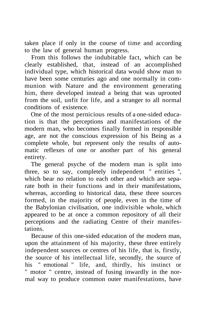taken place if only in the course of time and according to the law of general human progress.

From this follows the indubitable fact, which can be clearly established, that, instead of an accomplished individual type, which historical data would show man to have been some centuries ago and one normally in communion with Nature and the environment generating him, there developed instead a being that was uprooted from the soil, unfit for life, and a stranger to all normal conditions of existence.

One of the most pernicious results of a one-sided education is that the perceptions and manifestations of the modern man, who becomes finally formed in responsible age, are not the conscious expression of his Being as a complete whole, but represent only the results of automatic reflexes of one or another part of his general entirety.

The general psyche of the modern man is split into three, so to say, completely independent " entities ", which bear no relation to each other and which are separate both in their functions and in their manifestations, whereas, according to historical data, these three sources formed, in the majority of people, even in the time of the Babylonian civilisation, one indivisible whole, which appeared to be at once a common repository of all their perceptions and the radiating Centre of their manifestations.

Because of this one-sided education of the modern man, upon the attainment of his majority, these three entirely independent sources or centres of his life, that is, firstly, the source of his intellectual life, secondly, the source of his " emotional " life, and, thirdly, his instinct or " motor " centre, instead of fusing inwardly in the normal way to produce common outer manifestations, have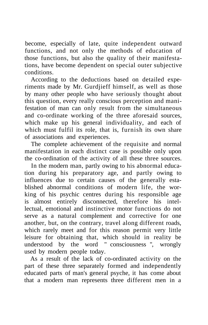become, especially of late, quite independent outward functions, and not only the methods of education of those functions, but also the quality of their manifestations, have become dependent on special outer subjective conditions.

According to the deductions based on detailed experiments made by Mr. Gurdjieff himself, as well as those by many other people who have seriously thought about this question, every really conscious perception and manifestation of man can only result from the simultaneous and co-ordinate working of the three aforesaid sources, which make up his general individuality, and each of which must fulfil its role, that is, furnish its own share of associations and experiences.

The complete achievement of the requisite and normal manifestation in each distinct case is possible only upon the co-ordination of the activity of all these three sources.

In the modern man, partly owing to his abnormal education during his preparatory age, and partly owing to influences due to certain causes of the generally established abnormal conditions of modern life, the working of his psychic centres during his responsible age is almost entirely disconnected, therefore his intellectual, emotional and instinctive motor functions do not serve as a natural complement and corrective for one another, but, on the contrary, travel along different roads, which rarely meet and for this reason permit very little leisure for obtaining that, which should in reality be understood by the word " consciousness ", wrongly used by modern people today.

As a result of the lack of co-ordinated activity on the part of these three separately formed and independently educated parts of man's general psyche, it has come about that a modern man represents three different men in a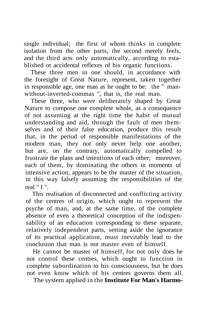single individual; the first of whom thinks in complete isolation from the other parts, the second merely feels, and the third acts only automatically, according to established or accidental reflexes of his organic functions.

These three men in one should, in accordance with the foresight of Great Nature, represent, taken together in responsible age, one man as he ought to be: the " manwithout-inverted-commas ", that is, the real man.

These three, who were deliberately shaped by Great Nature to compose one complete whole, as a consequence of not assuming at the right time the habit of mutual understanding and aid, through the fault of men themselves and of their false education, produce this result that, in the period of responsible manifestations of the modern man, they not only never help one another, but are, on the contrary, automatically compelled to frustrate the plans and intentions of each other; moreover, each of them, by dominating the others in moments of intensive action, appears to be the master of the situation, in this way falsely assuming the responsibilities of the real " I ".

This realisation of disconnected and conflicting activity of the centres of origin, which ought to represent the psyche of man, and, at the same time, of the complete absence of even a theoretical conception of the indispensability of an education corresponding to these separate, relatively independent parts, setting aside the ignorance of its practical application, must inevitably lead to the conclusion that man is not master even of himself.

He cannot be master of himself, for not only does he not control these centres, which ought to function in complete subordination to his consciousness, but he does not even know which of his centres governs them all.

The system applied in the **Institute For Man's Harmo-**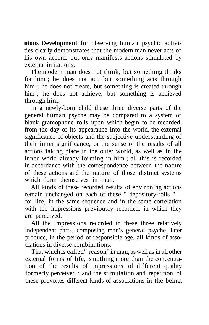**nious Development** for observing human psychic activities clearly demonstrates that the modern man never acts of his own accord, but only manifests actions stimulated by external irritations.

The modern man does not think, but something thinks for him ; he does not act, but something acts through him ; he does not create, but something is created through him ; he does not achieve, but something is achieved through him.

In a newly-born child these three diverse parts of the general human psyche may be compared to a system of blank gramophone rolls upon which begin to be recorded, from the day of its appearance into the world, the external significance of objects and the subjective understanding of their inner significance, or the sense of the results of all actions taking place in the outer world, as well as In the inner world already forming in him ; all this is recorded in accordance with the correspondence between the nature of these actions and the nature of those distinct systems which form themselves in man.

All kinds of these recorded results of environing actions remain unchanged on each of these " depository-rolls " for life, in the same sequence and in the same correlation with the impressions previously recorded, in which they are perceived.

All the impressions recorded in these three relatively independent parts, composing man's general psyche, later produce, in the period of responsible age, all kinds of associations in diverse combinations.

That which is called'' reason'' in man, as well as in all other external forms of life, is nothing more than the concentration of the results of impressions of different quality formerly perceived ; and the stimulation and repetition of these provokes different kinds of associations in the being.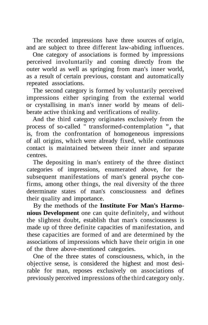The recorded impressions have three sources of origin, and are subject to three different law-abiding influences.

One category of associations is formed by impressions perceived involuntarily and coming directly from the outer world as well as springing from man's inner world, as a result of certain previous, constant and automatically repeated associations.

The second category is formed by voluntarily perceived impressions either springing from the external world or crystallising in man's inner world by means of deliberate active thinking and verifications of reality.

And the third category originates exclusively from the process of so-called " transformed-contemplation **",** that is, from the confrontation of homogeneous impressions of all origins, which were already fixed, while continuous contact is maintained between their inner and separate centres.

The depositing in man's entirety of the three distinct categories of impressions, enumerated above, for the subsequent manifestations of man's general psyche confirms, among other things, the real diversity of the three determinate states of man's consciousness and defines their quality and importance.

By the methods of the **Institute For Man's Harmonious Development** one can quite definitely, and without the slightest doubt, establish that man's consciousness is made up of three definite capacities of manifestation, and these capacities are formed of and are determined by the associations of impressions which have their origin in one of the three above-mentioned categories.

One of the three states of consciousness, which, in the objective sense, is considered the highest and most desirable for man, reposes exclusively on associations of previously perceived impressions of the third category only.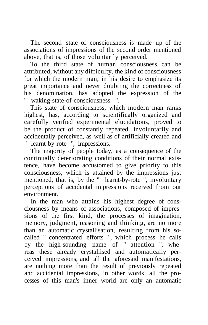The second state of consciousness is made up of the associations of impressions of the second order mentioned above, that is, of those voluntarily perceived.

To the third state of human consciousness can be attributed, without any difficulty, the kind of consciousness for which the modern man, in his desire to emphasize its great importance and never doubting the correctness of his denomination, has adopted the expression of the " waking-state-of-consciousness ".

This state of consciousness, which modern man ranks highest, has, according to scientifically organized and carefully verified experimental elucidations, proved to be the product of constantly repeated, involuntarily and accidentally perceived, as well as of artificially created and " learnt-by-rote ", impressions.

The majority of people today, as a consequence of the continually deteriorating conditions of their normal existence, have become accustomed to give priority to this consciousness, which is attained by the impressions just mentioned, that is, by the " learnt-by-rote ", involuntary perceptions of accidental impressions received from our environment.

In the man who attains his highest degree of consciousness by means of associations, composed of impressions of the first kind, the processes of imagination, memory, judgment, reasoning and thinking, are no more than an automatic crystallisation, resulting from his socalled " concentrated efforts ", which process he calls by the high-sounding name of " attention ", whereas these already crystallised and automatically perceived impressions, and all the aforesaid manifestations, are nothing more than the result of previously repeated and accidental impressions, in other words all the processes of this man's inner world are only an automatic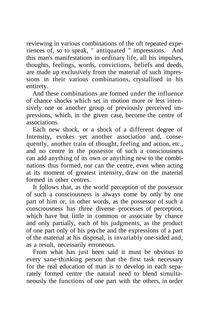reviewing in various combinations of the oft repeated experiences of, so to speak, " antiquated " impressions. And this man's manifestations in ordinary life, all his impulses, thoughts, feelings, words, convictions, beliefs and deeds, are made up exclusively from the material of such impressions in their various combinations, crystallised in his entirety.

And these combinations are formed under the influence of chance shocks which set in motion more or less intensively one or another group of previously perceived impressions, which, in the given case, become the centre of associations.

Each new shock, or a shock of a different degree of Intensity, evokes yet another association and, consequently, another train of thought, feeling and action, etc., and no centre in the possessor of such a consciousness can add anything of its own or anything new to the combinations thus formed, nor can the centre, even when acting at its moment of greatest intensity, draw on the material formed in other centres.

It follows that, as the world perception of the possessor of such a consciousness is always come by only by one part of him or, in other words, as the possessor of such a consciousness has three diverse processes of perception, which have but little in common or associate by chance and only partially, each of his judgments, as the product of one part only of his psyche and the expressions of a part of the material at his disposal, is invariably one-sided and, as a result, necessarily erroneous.

From what has just been said it must be obvious to every sane-thinking person that the first task necessary for the real education of man is to develop in each separately formed centre the natural need to blend simultaneously the functions of one part with the others, in order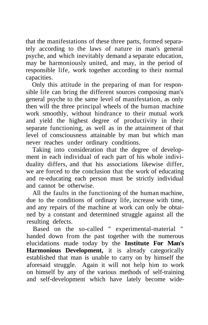that the manifestations of these three parts, formed separately according to the laws of nature in man's general psyche, and which inevitably demand a separate education, may be harmoniously united, and may, in the period of responsible life, work together according to their normal capacities.

Only this attitude in the preparing of man for responsible life can bring the different sources composing man's general psyche to the same level of manifestation, as only then will the three principal wheels of the human machine work smoothly, without hindrance to their mutual work and yield the highest degree of productivity in their separate functioning, as well as in the attainment of that level of consciousness attainable by man but which man never reaches under ordinary conditions.

Taking into consideration that the degree of development in each individual of each part of his whole individuality differs, and that his associations likewise differ, we are forced to the conclusion that the work of educating and re-educating each person must be strictly individual and cannot be otherwise.

All the faults in the functioning of the human machine, due to the conditions of ordinary life, increase with time, and any repairs of the machine at work can only be obtained by a constant and determined struggle against all the resulting defects.

Based on the so-called " experimental-material handed down from the past together with the numerous elucidations made today by the **Institute For Man's Harmonious Development,** it is already categorically established that man is unable to carry on by himself the aforesaid struggle. Again it will not help him to work on himself by any of the various methods of self-training and self-development which have lately become wide-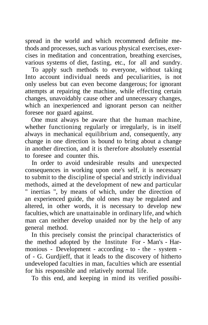spread in the world and which recommend definite methods and processes, such as various physical exercises, exercises in meditation and concentration, breathing exercises, various systems of diet, fasting, etc., for all and sundry.

To apply such methods to everyone, without taking Into account individual needs and peculiarities, is not only useless but can even become dangerous; for ignorant attempts at repairing the machine, while effecting certain changes, unavoidably cause other and unnecessary changes, which an inexperienced and ignorant person can neither foresee nor guard against.

One must always be aware that the human machine, whether functioning regularly or irregularly, is in itself always in mechanical equilibrium and, consequently, any change in one direction is bound to bring about a change in another direction, and it is therefore absolutely essential to foresee and counter this.

In order to avoid undesirable results and unexpected consequences in working upon one's self, it is necessary to submit to the discipline of special and strictly individual methods, aimed at the development of new and particular " inertias '', by means of which, under the direction of an experienced guide, the old ones may be regulated and altered, in other words, it is necessary to develop new faculties, which are unattainable in ordinary life, and which man can neither develop unaided nor by the help of any general method.

In this precisely consist the principal characteristics of the method adopted by the Institute For - Man's - Harmonious - Development - according - to - the - system of - G. Gurdjieff, that it leads to the discovery of hitherto undeveloped faculties in man, faculties which are essential for his responsible and relatively normal life.

To this end, and keeping in mind its verified possibi-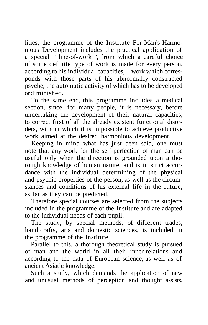lities, the programme of the Institute For Man's Harmonious Development includes the practical application of a special " line-of-work ", from which a careful choice of some definite type of work is made for every person, according to his individual capacities,—work which corresponds with those parts of his abnormally constructed psyche, the automatic activity of which has to be developed ordiminished.

To the same end, this programme includes a medical section, since, for many people, it is necessary, before undertaking the development of their natural capacities, to correct first of all the already existent functional disorders, without which it is impossible to achieve productive work aimed at the desired harmonious development.

Keeping in mind what has just been said, one must note that any work for the self-perfection of man can be useful only when the direction is grounded upon a thorough knowledge of human nature, and is in strict accordance with the individual determining of the physical and psychic properties of the person, as well as the circumstances and conditions of his external life in the future, as far as they can be predicted.

Therefore special courses are selected from the subjects included in the programme of the Institute and are adapted to the individual needs of each pupil.

The study, by special methods, of different trades, handicrafts, arts and domestic sciences, is included in the programme of the Institute.

Parallel to this, a thorough theoretical study is pursued of man and the world in all their inner-relations and according to the data of European science, as well as of ancient Asiatic knowledge.

Such a study, which demands the application of new and unusual methods of perception and thought assists,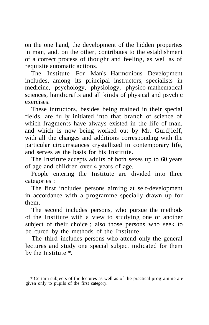on the one hand, the development of the hidden properties in man, and, on the other, contributes to the establishment of a correct process of thought and feeling, as well as of requisite automatic actions.

The Institute For Man's Harmonious Development includes, among its principal instructors, specialists in medicine, psychology, physiology, physico-mathematical sciences, handicrafts and all kinds of physical and psychic exercises.

These intructors, besides being trained in their special fields, are fully initiated into that branch of science of which fragments have always existed in the life of man, and which is now being worked out by Mr. Gurdjieff, with all the changes and additions corresponding with the particular circumstances crystallized in contemporary life, and serves as the basis for his Institute.

The Institute accepts adults of both sexes up to 60 years of age and children over 4 years of age.

People entering the Institute are divided into three categories :

The first includes persons aiming at self-development in accordance with a programme specially drawn up for them.

The second includes persons, who pursue the methods of the Institute with a view to studying one or another subject of their choice ; also those persons who seek to be cured by the methods of the Institute.

The third includes persons who attend only the general lectures and study one special subject indicated for them by the Institute \*.

<sup>\*</sup> Certain subjects of the lectures as well as of the practical programme are given only to pupils of the first category.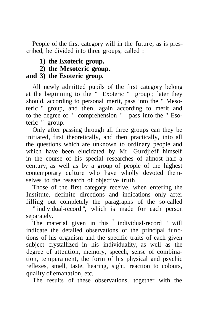People of the first category will in the future, as is prescribed, be divided into three groups, called :

- **1) the Exoteric group.**
- **2) the Mesoteric group.**

#### **and 3) the Esoteric group.**

All newly admitted pupils of the first category belong at the beginning to the " Exoteric " group ; later they should, according to personal merit, pass into the " Mesoteric " group, and then, again according to merit and to the degree of " comprehension " pass into the '' Esoteric " group.

Only after passing through all three groups can they be initiated, first theoretically, and then practically, into all the questions which are unknown to ordinary people and which have been elucidated by Mr. Gurdjieff himself in the course of his special researches of almost half a century, as well as by a group of people of the highest contemporary culture who have wholly devoted themselves to the research of objective truth.

Those of the first category receive, when entering the Institute, definite directions and indications only after filling out completely the paragraphs of the so-called

" individual-record ", which is made for each person

separately.<br>The material given in this "individual-record " will indicate the detailed observations of the principal functions of his organism and the specific traits of each given subject crystallized in his individuality, as well as the degree of attention, memory, speech, sense of combination, temperament, the form of his physical and psychic reflexes, smell, taste, hearing, sight, reaction to colours, quality of emanation, etc.

The results of these observations, together with the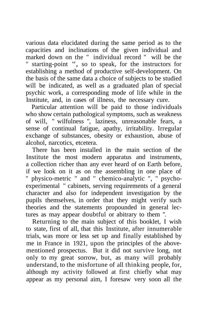various data elucidated during the same period as to the capacities and inclinations of the given individual and marked down on the " individual record " will be the starting-point ", so to speak, for the instructors for establishing a method of productive self-development. On the basis of the same data a choice of subjects to be studied will be indicated, as well as a graduated plan of special psychic work, a corresponding mode of life while in the Institute, and, in cases of illness, the necessary cure.

Particular attention will be paid to those individuals who show certain pathological symptoms, such as weakness of will, " wilfulness ", laziness, unreasonable fears, a sense of continual fatigue, apathy, irritability. Irregular exchange of substances, obesity or exhaustion, abuse of alcohol, narcotics, etcetera.

There has been installed in the main section of the Institute the most modern apparatus and instruments, a collection richer than any ever heard of on Earth before, if we look on it as on the assembling in one place of " physico-metric " and " chemico-analytic ", '' psychoexperimental '' cabinets, serving requirements of a general character and also for independent investigation by the pupils themselves, in order that they might verify such theories and the statements propounded in general lectures as may appear doubtful or abitrary to them ''.

Returning to the main subject of this booklet, I wish to state, first of all, that this Institute, after innumerable trials, was more or less set up and finally established by me in France in 1921, upon the principles of the abovementioned prospectus. But it did not survive long, not only to my great sorrow, but, as many will probably understand, to the misfortune of all thinking people, for, although my activity followed at first chiefly what may appear as my personal aim, I foresaw very soon all the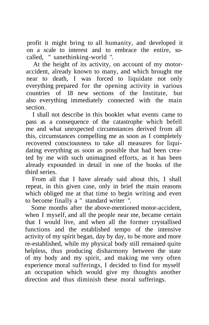profit it might bring to all humanity, and developed it on a scale to interest and to embrace the entire, socalled, " sanethinking-world ".

At the height of its activity, on account of my motoraccident, already known to many, and which brought me near to death, I was forced to liquidate not only everything prepared for the opening activity in various countries of 18 new sections of the Institute, but also everything immediately connected with the main section.

I shall not describe in this booklet what events came to pass as a consequence of the catastrophe which befell me and what unexpected circumstances derived from all this, circumstances compelling me as soon as I completely recovered consciousness to take all measures for liquidating everything as soon as possible that had been created by me with such unimagined efforts, as it has been already expounded in detail in one of the books of the third series.

From all that I have already said about this, I shall repeat, in this given case, only in brief the main reasons which obliged me at that time to begin writing and even to become finally a " standard writer ".

Some months after the above-mentioned motor-accident, when I myself, and all the people near me, became certain that I would live, and when all the former crystallised functions and the established tempo of the intensive activity of my spirit began, day by day, to be more and more re-established, while my physical body still remained quite helpless, thus producing disharmony between the state of my body and my spirit, and making me very often experience moral sufferings, I decided to find for myself an occupation which would give my thoughts another direction and thus diminish these moral sufferings.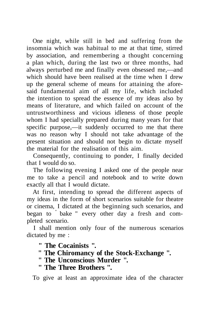One night, while still in bed and suffering from the insomnia which was habitual to me at that time, stirred by association, and remembering a thought concerning a plan which, during the last two or three months, had always perturbed me and finally even obsessed me,—and which should have been realised at the time when I drew up the general scheme of means for attaining the aforesaid fundamental aim of all my life, which included the intention to spread the essence of my ideas also by means of literature, and which failed on account of the untrustworthiness and vicious idleness of those people whom I had specially prepared during many years for that specific purpose,—it suddenly occurred to me that there was no reason why I should not take advantage of the present situation and should not begin to dictate myself the material for the realisation of this aim.

Consequently, continuing to ponder, I finally decided that I would do so.

The following evening I asked one of the people near me to take a pencil and notebook and to write down exactly all that I would dictate.

At first, intending to spread the different aspects of my ideas in the form of short scenarios suitable for theatre or cinema, I dictated at the beginning such scenarios, and began to bake " every other day a fresh and completed scenario.

I shall mention only four of the numerous scenarios dictated by me :

- **" The Cocainists ".**
- **" The Chiromancy of the Stock-Exchange ". " The Unconscious Murder ".**
- 
- **" The Three Brothers ".**

To give at least an approximate idea of the character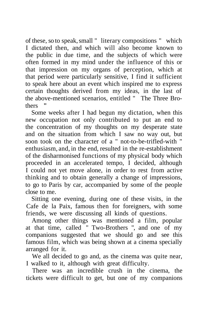of these, so to speak, small " literary compositions " which I dictated then, and which will also become known to the public in due time, and the subjects of which were often formed in my mind under the influence of this or that impression on my organs of perception, which at that period were particularly sensitive, I find it sufficient to speak here about an event which inspired me to express certain thoughts derived from my ideas, in the last of the above-mentioned scenarios, entitled " The Three Brothers **"** 

Some weeks after I had begun my dictation, when this new occupation not only contributed to put an end to the concentration of my thoughts on my desperate state and on the situation from which I saw no way out, but soon took on the character of a " not-to-be-trifled-with " enthusiasm, and, in the end, resulted in the re-establishment of the disharmonised functions of my physical body which proceeded in an accelerated tempo, I decided, although I could not yet move alone, in order to rest from active thinking and to obtain generally a change of impressions, to go to Paris by car, accompanied by some of the people close to me.

Sitting one evening, during one of these visits, in the Cafe de la Paix, famous then for foreigners, with some friends, we were discussing all kinds of questions.

Among other things was mentioned a film, popular at that time, called " Two-Brothers ", and one of my companions suggested that we should go and see this famous film, which was being shown at a cinema specially arranged for it.

We all decided to go and, as the cinema was quite near, I walked to it, although with great difficulty.

There was an incredible crush in the cinema, the tickets were difficult to get, but one of my companions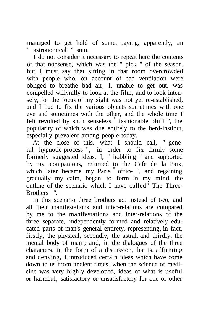managed to get hold of some, paying, apparently, an astronomical " sum.

I do not consider it necessary to repeat here the contents of that nonsense, which was the " pick " of the season. but I must say that sitting in that room overcrowded with people who, on account of bad ventilation were obliged to breathe bad air, I, unable to get out, was compelled willynilly to look at the film, and to look intensely, for the focus of my sight was not yet re-established, and I had to fix the various objects sometimes with one eye and sometimes with the other, and the whole time I felt revolted by such senseless fashionable bluff ", the popularity of which was due entirely to the herd-instinct, especially prevalent among people today.

At the close of this, what I should call, **"** general hypnotic-process ", in order to fix firmly some formerly suggested ideas, I, " hobbling " and supported by my companions, returned to the Cafe de la Paix, which later became my Paris office ", and regaining gradually my calm, began to form in my mind the outline of the scenario which I have called'' The Three-Brothers ".

In this scenario three brothers act instead of two, and all their manifestations and inter-relations are compared by me to the manifestations and inter-relations of the three separate, independently formed and relatively educated parts of man's general entirety, representing, in fact, firstly, the physical, secondly, the astral, and thirdly, the mental body of man ; and, in the dialogues of the three characters, in the form of a discussion, that is, affirming and denying, I introduced certain ideas which have come down to us from ancient times, when the science of medicine was very highly developed, ideas of what is useful or harmful, satisfactory or unsatisfactory for one or other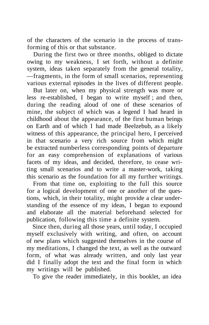of the characters of the scenario in the process of transforming of this or that substance.

During the first two or three months, obliged to dictate owing to my weakness, I set forth, without a definite system, ideas taken separately from the general totality, —fragments, in the form of small scenarios, representing various external episodes in the lives of different people.

But later on, when my physical strength was more or less re-established, I began to write myself ; and then, during the reading aloud of one of these scenarios of mine, the subject of which was a legend I had heard in childhood about the appearance, of the first human beings on Earth and of which I had made Beelzebub, as a likely witness of this appearance, the principal hero, I perceived in that scenario a very rich source from which might be extracted numberless corresponding points of departure for an easy comprehension of explanations of various facets of my ideas, and decided, therefore, to cease writing small scenarios and to write a master-work, taking this scenario as the foundation for all my further writings.

From that time on, exploiting to the full this source for a logical development of one or another of the questions, which, in their totality, might provide a clear understanding of the essence of my ideas, I began to expound and elaborate all the material beforehand selected for publication, following this time a definite system.

Since then, during all those years, until today, I occupied myself exclusively with writing, and often, on account of new plans which suggested themselves in the course of my meditations, I changed the text, as well as the outward form, of what was already written, and only last year did I finally adopt the text and the final form in which my writings will be published.

To give the reader immediately, in this booklet, an idea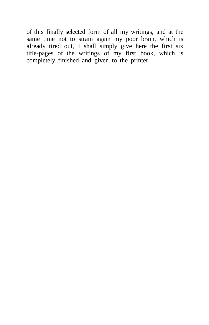of this finally selected form of all my writings, and at the same time not to strain again my poor brain, which is already tired out, I shall simply give here the first six title-pages of the writings of my first book, which is completely finished and given to the printer.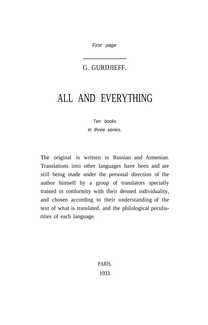*First page* 

### G. GURDJIEFF.

# ALL AND EVERYTHING

*Ten books* 

*in three series.* 

The original is written in Russian and Armenian. Translations into other languages have been and are still being made under the personal direction of the author himself by a group of translators specially trained in conformity with their denned individuality, and chosen according to their understanding of the text of what is translated, and the philological peculiarities of each language.

> PARIS. 1933.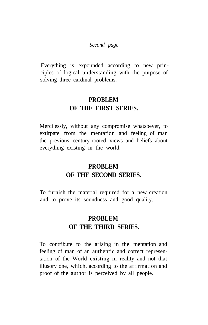#### *Second page*

Everything is expounded according to new principles of logical understanding with the purpose of solving three cardinal problems.

#### **PROBLEM OF THE FIRST SERIES.**

Mercilessly, without any compromise whatsoever, to extirpate from the mentation and feeling of man the previous, century-rooted views and beliefs about everything existing in the world.

### **PROBLEM OF THE SECOND SERIES.**

To furnish the material required for a new creation and to prove its soundness and good quality.

# **PROBLEM OF THE THIRD SERIES.**

To contribute to the arising in the mentation and feeling of man of an authentic and correct representation of the World existing in reality and not that illusory one, which, according to the affirmation and proof of the author is perceived by all people.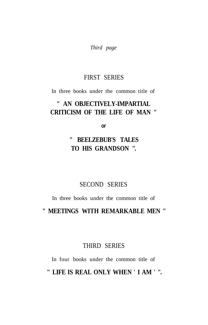*Third page* 

#### FIRST SERIES

In three books under the common title of

# **" AN OBJECTIVELY-IMPARTIAL CRITICISM OF THE LIFE OF MAN "**

**or** 

# **" BEELZEBUB'S TALES TO HIS GRANDSON ".**

#### SECOND SERIES

In three books under the common title of

#### **" MEETINGS WITH REMARKABLE MEN "**

THIRD SERIES

In four books under the common title of

**" LIFE IS REAL ONLY WHEN ' I AM ' ".**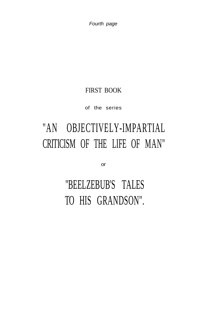*Fourth page* 

# FIRST BOOK

of the series

# "AN OBJECTIVELY-IMPARTIAL CRITICISM OF THE LIFE OF MAN"

or

# "BEELZEBUB'S TALES TO HIS GRANDSON".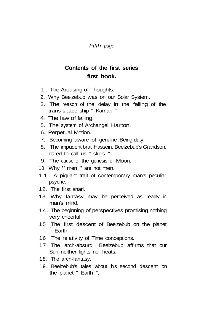#### *Fifth page*

### **Contents of the first series first book.**

- 1 . The Arousing of Thoughts.
- 2. Why Beelzebub was on our Solar System.
- 3. The reason of the delay in the falling of the trans-space ship " Karnak ".
- 4. The law of falling.
- 5. The system of Archangel Hariton.
- 6. Perpetual Motion.
- 7. Becoming aware of genuine Being-duty.
- 8. The impudent brat Hassein, Beelzebub's Grandson, dared to call us " slugs ".
- 9. The cause of the genesis of Moon.
- 10. Why " men " are not men.
- 11 . A piquant trait of contemporary man's peculiar psyche.
- 12. The first snarl.
- 13. Why fantasy may be perceived as reality in man's mind.
- 14. The beginning of perspectives promising nothing very cheerful.
- 15. The first descent of Beelzebub on the planet " Earth ".
- 16. The relativity of Time conceptions.
- 17. The arch-absurd ! Beelzebub affirms that our Sun neither lights nor heats.
- 18. The arch-fantasy.
- 19. Beelzebub's tales about his second descent on the planet " Earth ".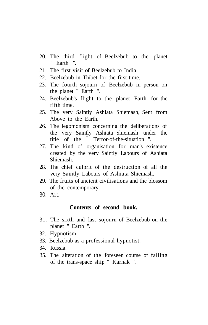- 20. The third flight of Beelzebub to the planet " Earth ".
- 21. The first visit of Beelzebub to India.
- 22. Beelzebub in Thibet for the first time.
- 23. The fourth sojourn of Beelzebub in person on the planet " Earth ".
- 24. Beelzebub's flight to the planet Earth for the fifth time.
- 25. The very Saintly Ashiata Shiemash, Sent from Above to the Earth.
- 26. The legomonism concerning the deliberations of the very Saintly Ashiata Shiemash under the " title of the Terror-of-the-situation ".
- 27. The kind of organisation for man's existence created by the very Saintly Labours of Ashiata Shiemash.
- 28. The chief culprit of the destruction of all the very Saintly Labours of Ashiata Shiemash.
- 29. The fruits of ancient civilisations and the blossom of the contemporary.
- 30. Art.

#### **Contents of second book.**

- 31. The sixth and last sojourn of Beelzebub on the planet " Earth ".
- 32. Hypnotism.
- 33. Beelzebub as a professional hypnotist.
- 34. Russia.
- 35. The alteration of the foreseen course of falling of the trans-space ship " Karnak ".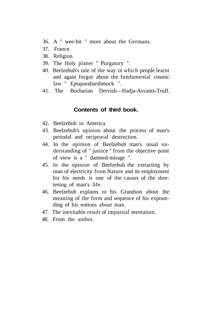- 36. A " wee-bit " more about the Germans.
- 37. France.
- 38. Religion.
- 39. The Holy planet " Purgatory ".
- 40. Beelzebub's tale of the way in which people learnt and again forgot about the fundamental cosmic law " Eptaparabarshmock ".
- 41. The Bocharian Dervish—Hadja-Asvants-Truff.

#### **Contents of third book.**

- 42. Beelzebub in America.
- 43. Beelzebub's opinion about the process of man's periodal and reciprocal destruction.
- 44. In the opinion of Beelzebub man's usual understanding of " justice " from the objective point of view is a " damned-mirage ".
- 45. In the opinion of Beelzebub the extracting by man of electricity from Nature and its employment for his needs is one of the causes of the shor tening of man's life.
- 46. Beelzebub explains to his Grandson about the meaning of the form and sequence of his expoun ding of his notions about man.
- 47. The inevitable result of impartial mentation.
- 48. From the author.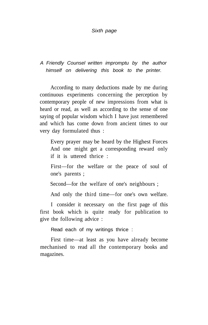#### *Sixth page*

#### *A Friendly Counsel written impromptu by the author himself on delivering this book to the printer.*

According to many deductions made by me during continuous experiments concerning the perception by contemporary people of new impressions from what is heard or read, as well as according to the sense of one saying of popular wisdom which I have just remembered and which has come down from ancient times to our very day formulated thus :

Every prayer may be heard by the Highest Forces And one might get a corresponding reward only if it is uttered thrice :

First—for the welfare or the peace of soul of one's parents ;

Second—for the welfare of one's neighbours ;

And only the third time—for one's own welfare.

I consider it necessary on the first page of this first book which is quite ready for publication to give the following advice :

Read each of my writings thrice :

First time—at least as you have already become mechanised to read all the contemporary books and magazines.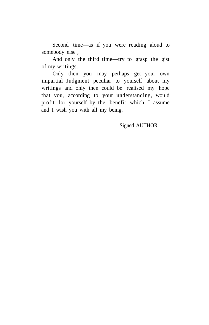Second time—as if you were reading aloud to somebody else ;

And only the third time—try to grasp the gist of my writings.

Only then you may perhaps get your own impartial Judgment peculiar to yourself about my writings and only then could be realised my hope that you, according to your understanding, would profit for yourself by the benefit which I assume and I wish you with all my being.

Signed AUTHOR.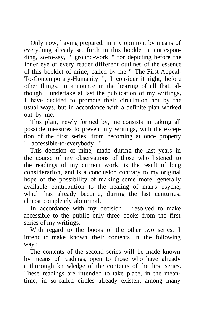Only now, having prepared, in my opinion, by means of everything already set forth in this booklet, a corresponding, so-to-say, " ground-work '' for depicting before the inner eye of every reader different outlines of the essence of this booklet of mine, called by me " The-First-Appeal-To-Contemporary-Humanity ", I consider it right, before other things, to announce in the hearing of all that, although I undertake at last the publication of my writings, I have decided to promote their circulation not by the usual ways, but in accordance with a definite plan worked out by me.

This plan, newly formed by, me consists in taking all possible measures to prevent my writings, with the exception of the first series, from becoming at once property " accessible-to-everybody ".

This decision of mine, made during the last years in the course of my observations of those who listened to the readings of my current work, is the result of long consideration, and is a conclusion contrary to my original hope of the possibility of making some more, generally available contribution to the healing of man's psyche, which has already become, during the last centuries, almost completely abnormal.

In accordance with my decision I resolved to make accessible to the public only three books from the first series of my writings.

With regard to the books of the other two series, I intend to make known their contents in the following way :

The contents of the second series will be made known by means of readings, open to those who have already a thorough knowledge of the contents of the first series. These readings are intended to take place, in the meantime, in so-called circles already existent among many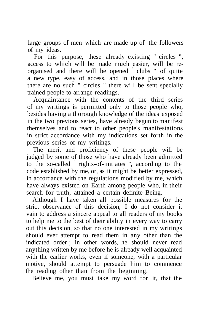large groups of men which are made up of the followers of my ideas.

For this purpose, these already existing " circles ", access to which will be made much easier, will be re organised and there will be opened clubs " of quite a new type, easy of access, and in those places where there are no such " circles " there will be sent specially trained people to arrange readings.

Acquaintance with the contents of the third series of my writings is permitted only to those people who, besides having a thorough knowledge of the ideas exposed in the two previous series, have already begun to manifest themselves and to react to other people's manifestations in strict accordance with my indications set forth in the previous series of my writings.

The merit and proficiency of these people will be judged by some of those who have already been admitted to the so-called  $\overline{\phantom{a}}$  rights-of-imtiates ", according to the code established by me, or, as it might be better expressed, in accordance with the regulations modified by me, which have always existed on Earth among people who, in their search for truth, attained a certain definite Being.

Although I have taken all possible measures for the strict observance of this decision, I do not consider it vain to address a sincere appeal to all readers of my books to help me to the best of their ability in every way to carry out this decision, so that no one interested in my writings should ever attempt to read them in any other than the indicated order ; in other words, he should never read anything written by me before he is already well acquainted with the earlier works, even if someone, with a particular motive, should attempt to persuade him to commence the reading other than from the beginning.

Believe me, you must take my word for it, that the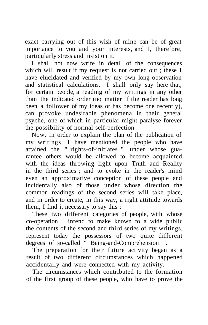exact carrying out of this wish of mine can be of great importance to you and your interests, and I, therefore, particularly stress and insist on it.

I shall not now write in detail of the consequences which will result if my request is not carried out ; these I have elucidated and verified by my own long observation and statistical calculations. I shall only say here that, for certain people, a reading of my writings in any other than the indicated order (no matter if the reader has long been a follower of my ideas or has become one recently), can provoke undesirable phenomena in their general psyche, one of which in particular might paralyse forever the possibility of normal self-perfection.

Now, in order to explain the plan of the publication of my writings, I have mentioned the people who have attained the " rights-of-initiates ", under whose guarantee others would be allowed to become acquainted with the ideas throwing light upon Truth and Reality in the third series ; and to evoke in the reader's mind even an approximative conception of these people and incidentally also of those under whose direction the common readings of the second series will take place, and in order to create, in this way, a right attitude towards them, I find it necessary to say this :

These two different categories of people, with whose co-operation I intend to make known to a wide public the contents of the second and third series of my writings, represent today the possessors of two quite different degrees of so-called '' Being-and-Comprehension ''.

The preparation for their future activity began as a result of two different circumstances which happened accidentally and were connected with my activity.

The circumstances which contributed to the formation of the first group of these people, who have to prove the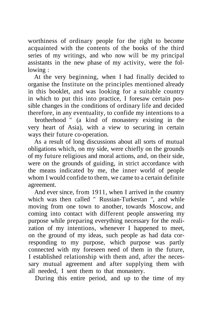worthiness of ordinary people for the right to become acquainted with the contents of the books of the third series of my writings, and who now will be my principal assistants in the new phase of my activity, were the following :

At the very beginning, when I had finally decided to organise the Institute on the principles mentioned already in this booklet, and was looking for a suitable country in which to put this into practice, I foresaw certain possible changes in the conditions of ordinary life and decided therefore, in any eventuality, to confide my intentions to a

brotherhood " (a kind of monastery existing in the very heart of Asia), with a view to securing in certain ways their future co-operation.

As a result of long discussions about all sorts of mutual obligations which, on my side, were chiefly on the grounds of my future religious and moral actions, and, on their side, were on the grounds of guiding, in strict accordance with the means indicated by me, the inner world of people whom I would confide to them, we came to a certain definite agreement.

And ever since, from 1911, when I arrived in the country which was then called " Russian-Turkestan ", and while moving from one town to another, towards Moscow, and coming into contact with different people answering my purpose while preparing everything necessary for the realization of my intentions, whenever I happened to meet, on the ground of my ideas, such people as had data corresponding to my purpose, which purpose was partly connected with my foreseen need of them in the future, I established relationship with them and, after the necessary mutual agreement and after supplying them with all needed, I sent them to that monastery.

During this entire period, and up to the time of my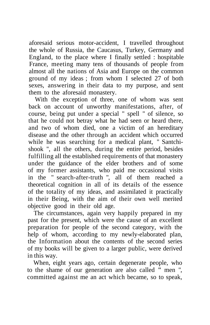aforesaid serious motor-accident, I travelled throughout the whole of Russia, the Caucasus, Turkey, Germany and England, to the place where I finally settled : hospitable France, meeting many tens of thousands of people from almost all the nations of Asia and Europe on the common ground of my ideas ; from whom I selected 27 of both sexes, answering in their data to my purpose, and sent them to the aforesaid monastery.

With the exception of three, one of whom was sent back on account of unworthy manifestations, after, of course, being put under a special " spell " of silence, so that he could not betray what he had seen or heard there, and two of whom died, one a victim of an hereditary disease and the other through an accident which occurred while he was searching for a medical plant, " Santchishook '', all the others, during the entire period, besides fulfilling all the established requirements of that monastery under the guidance of the elder brothers and of some of my former assistants, who paid me occasional visits in the " search-after-truth ", all of them reached a theoretical cognition in all of its details of the essence of the totality of my ideas, and assimilated it practically in their Being, with the aim of their own well merited objective good in their old age.

The circumstances, again very happily prepared in my past for the present, which were the cause of an excellent preparation for people of the second category, with the help of whom, according to my newly-elaborated plan, the Information about the contents of the second series of my books will be given to a larger public, were derived in this way.

When, eight years ago, certain degenerate people, who to the shame of our generation are also called **"** men ", committed against me an act which became, so to speak,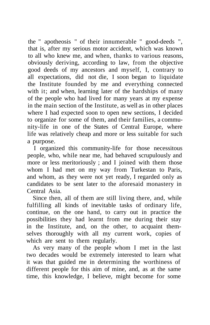the " apotheosis " of their innumerable " good-deeds ", that is, after my serious motor accident, which was known to all who knew me, and when, thanks to various reasons, obviously deriving, according to law, from the objective good deeds of my ancestors and myself, I, contrary to all expectations, did not die, I soon began to liquidate the Institute founded by me and everything connected with it; and when, learning later of the hardships of many of the people who had lived for many years at my expense in the main section of the Institute, as well as in other places where I had expected soon to open new sections, I decided to organize for some of them, and their families, a community-life in one of the States of Central Europe, where life was relatively cheap and more or less suitable for such a purpose.

I organized this community-life for those necessitous people, who, while near me, had behaved scrupulously and more or less meritoriously ; and I joined with them those whom I had met on my way from Turkestan to Paris, and whom, as they were not yet ready, I regarded only as candidates to be sent later to the aforesaid monastery in Central Asia.

Since then, all of them are still living there, and, while fulfilling all kinds of inevitable tasks of ordinary life, continue, on the one hand, to carry out in practice the possibilities they had learnt from me during their stay in the Institute, and, on the other, to acquaint themselves thoroughly with all my current work, copies of which are sent to them regularly.

As very many of the people whom I met in the last two decades would be extremely interested to learn what it was that guided me in determining the worthiness of different people for this aim of mine, and, as at the same time, this knowledge, I believe, might become for some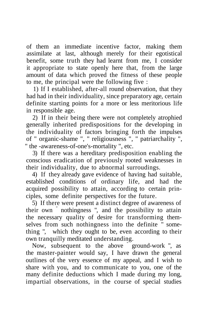of them an immediate incentive factor, making them assimilate at last, although merely for their egotistical benefit, some truth they had learnt from me, I consider it appropriate to state openly here that, from the large amount of data which proved the fitness of these people to me, the principal were the following five :

1) If I established, after-all round observation, that they had had in their individuality, since preparatory age, certain definite starting points for a more or less meritorious life in responsible age.

2) If in their being there were not completely atrophied generally inherited predispositions for the developing in the individuality of factors bringing forth the impulses of " organic-shame ", " religiousness ", " patriarchality ", " the -awareness-of-one's-mortality ", etc.

3) If there was a hereditary predisposition enabling the conscious eradication of previously rooted weaknesses in their individuality, due to abnormal surroudings.

4) If they already gave evidence of having had suitable, established conditions of ordinary life, and had the acquired possibility to attain, according to certain principles, some definite perspectives for the future.

5) If there were present a distinct degree of awareness of their own nothingness ", and the possibility to attain the necessary quality of desire for transforming themselves from such nothingness into the definite " something ", which they ought to be, even according to their own tranquilly meditated understanding.<br>Now, subsequent to the above ground-work ", as

the master-painter would say, I have drawn the general outlines of the very essence of my appeal, and I wish to share with you, and to communicate to you, one of the many definite deductions which I made during my long, impartial observations, in the course of special studies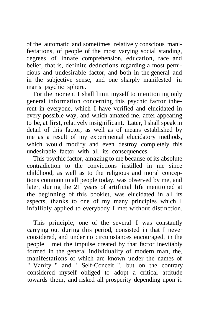of the automatic and sometimes relatively conscious manifestations, of people of the most varying social standing, degrees of innate comprehension, education, race and belief, that is, definite deductions regarding a most pernicious and undesirable factor, and both in the general and in the subjective sense, and one sharply manifested in man's psychic sphere.

For the moment I shall limit myself to mentioning only general information concerning this psychic factor inherent in everyone, which I have verified and elucidated in every possible way, and which amazed me, after appearing to be, at first, relatively insignificant. Later, I shall speak in detail of this factor, as well as of means established by me as a result of my experimental elucidatory methods, which would modify and even destroy completely this undesirable factor with all its consequences.

This psychic factor, amazing to me because of its absolute contradiction to the convictions instilled in me since childhood, as well as to the religious and moral conceptions common to all people today, was observed by me, and later, during the 21 years of artificial life mentioned at the beginning of this booklet, was elucidated in all its aspects, thanks to one of my many principles which I infallibly applied to everybody I met without distinction.

This principle, one of the several I was constantly carrying out during this period, consisted in that I never considered, and under no circumstances encouraged, in the people I met the impulse created by that factor inevitably formed in the general individuality of modern man, the, manifestations of which are known under the names of " Vanity " and " Self-Conceit ", but on the contrary considered myself obliged to adopt a critical attitude towards them, and risked all prosperity depending upon it.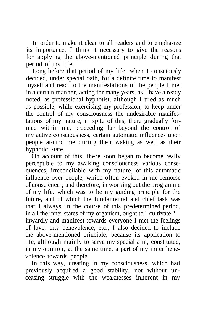In order to make it clear to all readers and to emphasize its importance, I think it necessary to give the reasons for applying the above-mentioned principle during that period of my life.

Long before that period of my life, when I consciously decided, under special oath, for a definite time to manifest myself and react to the manifestations of the people I met in a certain manner, acting for many years, as I have already noted, as professional hypnotist, although I tried as much as possible, while exercising my profession, to keep under the control of my consciousness the undesirable manifestations of my nature, in spite of this, there gradually formed within me, proceeding far beyond the control of my active consciousness, certain automatic influences upon people around me during their waking as well as their hypnotic state.

On account of this, there soon began to become really perceptible to my awaking consciousness various consequences, irreconcilable with my nature, of this automatic influence over people, which often evoked in me remorse of conscience ; and therefore, in working out the programme of my life. which was to be my guiding principle for the future, and of which the fundamental and chief task was that I always, in the course of this predetermined period, in all the inner states of my organism, ought to " cultivate " inwardly and manifest towards everyone I met the feelings of love, pity benevolence, etc., I also decided to include the above-mentioned principle, because its application to life, although mainly to serve my special aim, constituted, in my opinion, at the same time, a part of my inner benevolence towards people.

In this way, creating in my consciousness, which had previously acquired a good stability, not without unceasing struggle with the weaknesses inherent in my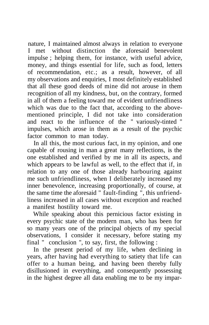nature, I maintained almost always in relation to everyone I met without distinction the aforesaid benevolent impulse ; helping them, for instance, with useful advice, money, and things essential for life, such as food, letters of recommendation, etc.; as a result, however, of all my observations and enquiries, I most definitely established that all these good deeds of mine did not arouse in them recognition of all my kindness, but, on the contrary, formed in all of them a feeling toward me of evident unfriendliness which was due to the fact that, according to the abovementioned principle, I did not take into consideration and react to the influence of the " variously-tinted " impulses, which arose in them as a result of the psychic factor common to man today.

In all this, the most curious fact, in my opinion, and one capable of rousing in man a great many reflections, is the one established and verified by me in all its aspects, and which appears to be lawful as well, to the effect that if, in relation to any one of those already harbouring against me such unfriendliness, when I deliberately increased my inner benevolence, increasing proportionally, of course, at the same time the aforesaid " fault-finding ", this unfriendliness increased in all cases without exception and reached a manifest hostility toward me.

While speaking about this pernicious factor existing in every psychic state of the modern man, who has been for so many years one of the principal objects of my special observations, I consider it necessary, before stating my final " conclusion ", to say, first, the following :

In the present period of my life, when declining in years, after having had everything to satiety that life can offer to a human being, and having been thereby fully disillusioned in everything, and consequently possessing in the highest degree all data enabling me to be my impar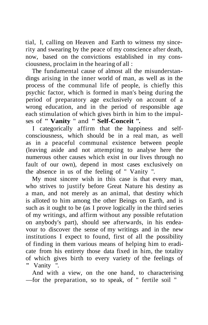tial, I, calling on Heaven and Earth to witness my sincerity and swearing by the peace of my conscience after death, now, based on the convictions established in my consciousness, proclaim in the hearing of all :

The fundamental cause of almost all the misunderstandings arising in the inner world of man, as well as in the process of the communal life of people, is chiefly this psychic factor, which is formed in man's being during the period of preparatory age exclusively on account of a wrong education, and in the period of responsible age each stimulation of which gives birth in him to the impulses of **" Vanity** " and **" Self-Conceit ".** 

I categorically affirm that the happiness and selfconsciousness, which should be in a real man, as well as in a peaceful communal existence between people (leaving aside and not attempting to analyse here the numerous other causes which exist in our lives through no fault of our own), depend in most cases exclusively on the absence in us of the feeling of " Vanity ".

My most sincere wish in this case is that every man, who strives to justify before Great Nature his destiny as a man, and not merely as an animal, that destiny which is alloted to him among the other Beings on Earth, and is such as it ought to be (as I prove logically in the third series of my writings, and affirm without any possible refutation on anybody's part), should see afterwards, in his endeavour to discover the sense of my writings and in the new institutions I expect to found, first of all the possibility of finding in them various means of helping him to eradicate from his entirety those data fixed in him, the totality of which gives birth to every variety of the feelings of **"** Vanity ".

And with a view, on the one hand, to characterising —for the preparation, so to speak, of " fertile soil "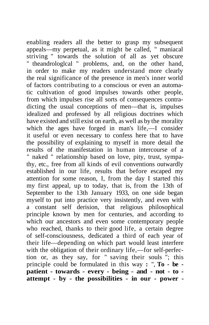enabling readers all the better to grasp my subsequent appeals—my perpetual, as it might be called, " maniacal striving " towards the solution of all as yet obscure " theandrologlcal " problems, and, on the other hand, in order to make my readers understand more clearly the real significance of the presence in men's inner world of factors contributing to a conscious or even an automatic cultivation of good impulses towards other people, from which impulses rise all sorts of consequences contradicting the usual conceptions of men—that is, impulses idealized and professed by all religious doctrines which have existed and still exist on earth, as well as by the morality which the ages have forged in man's life,—I consider it useful or even necessary to confess here that to have the possibility of explaining to myself in more detail the results of the manifestation in human intercourse of a " naked " relationship based on love, pity, trust, sympathy, etc., free from all kinds of evil conventions outwardly established in our life, results that before escaped my attention for some reason, I, from the day I started this my first appeal, up to today, that is, from the 13th of September to the 13th January 1933, on one side began myself to put into practice very insistently, and even with a constant self derision, that religious philosophical principle known by men for centuries, and according to which our ancestors and even some contemporary people who reached, thanks to their good life, a certain degree of self-consciousness, dedicated a third of each year of their life—depending on which part would least interfere with the obligation of their ordinary life,—for self-perfection or, as they say, for " saving their souls "; this principle could be formulated in this way **:** ", **To - be patient - towards - every - being - and - not - to attempt - by - the possibilities - in our - power -**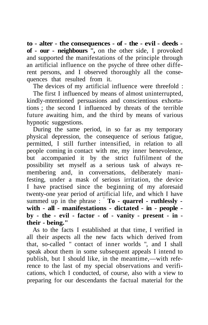**to - alter - the consequences - of - the - evil - deeds** **of - our - neighbours ",** on the other side, I provoked and supported the manifestations of the principle through an artificial influence on the psyche of three other different persons, and I observed thoroughly all the consequences that resulted from it.

The devices of my artificial influence were threefold :

The first I influenced by means of almost uninterrupted, kindly-mtentioned persuasions and conscientious exhortations ; the second I influenced by threats of the terrible future awaiting him, and the third by means of various hypnotic suggestions.

During the same period, in so far as my temporary physical depression, the consequence of serious fatigue, permitted, I still further intensified, in relation to all people coming in contact with me, my inner benevolence, but accompanied it by the strict fulfilment of the possibility set myself as a serious task of always remembering and, in conversations, deliberately manifesting, under a mask of serious irritation, the device have practised since the beginning of my aforesaid Itwenty-one year period of artificial life, and which I have summed up in the phrase :  $\overline{p}$  **To - quarrel - ruthlessly with - all - manifestations - dictated - in - people by - the - evil - factor - of - vanity - present - in their - being."** 

As to the facts I established at that time, I verified in all their aspects all the new facts which derived from that, so-called " contact of inner worlds ", and I shall speak about them in some subsequent appeals I intend to publish, but I should like, in the meantime,—with reference to the last of my special observations and verifications, which I conducted, of course, also with a view to preparing for our descendants the factual material for the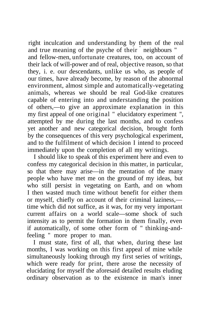right inculcation and understanding by them of the real and true meaning of the psyche of their neighbours " and fellow-men, unfortunate creatures, too, on account of their lack of will-power and of real, objective reason, so that they, i. e. our descendants, unlike us who, as people of our times, have already become, by reason of the abnormal environment, almost simple and automatically-vegetating animals, whereas we should be real God-like creatures capable of entering into and understanding the position of others,—to give an approximate explanation in this my first appeal of one original " elucidatory experiment '', attempted by me during the last months, and to confess yet another and new categorical decision, brought forth by the consequences of this very psychological experiment, and to the fulfilment of which decision I intend to proceed immediately upon the completion of all my writings.

I should like to speak of this experiment here and even to confess my categorical decision in this matter, in particular, so that there may arise—in the mentation of the many people who have met me on the ground of my ideas, but who still persist in vegetating on Earth, and on whom I then wasted much time without benefit for either them or myself, chiefly on account of their criminal laziness, time which did not suffice, as it was, for my very important current affairs on a world scale—some shock of such intensity as to permit the formation in them finally, even if automatically, of some other form of " thinking-andfeeling " more proper to man.

I must state, first of all, that when, during these last months, I was working on this first appeal of mine while simultaneously looking through my first series of writings, which were ready for print, there arose the necessity of elucidating for myself the aforesaid detailed results eluding ordinary observation as to the existence in man's inner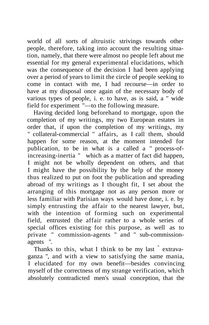world of all sorts of altruistic strivings towards other people, therefore, taking into account the resulting situation, namely, that there were almost no people left about me essential for my general experimental elucidations, which was the consequence of the decision I had been applying over a period of years to limit the circle of people seeking to come in contact with me, I had recourse—in order to have at my disposal once again of the necessary body of various types of people, i. e. to have, as is said, a " wide field for experiment "—to the following measure.

Having decided long beforehand to mortgage, upon the completion of my writings, my two European estates in order that, if upon the completion of my writings, my " collateral-commercial " affairs, as I call them, should happen for some reason, at the moment intended for publication, to be in what is a called a " process-ofincreasing-inertia " which as a matter of fact did happen, I might not be wholly dependent on others, and that I might have the possibility by the help of the money thus realized to put on foot the publication and spreading abroad of my writings as I thought fit, I set about the arranging of this mortgage not as any person more or less familiar with Parisian ways would have done, i. e. by simply entrusting the affair to the nearest lawyer, but, with the intention of forming such on experimental field, entrusted the affair rather to a whole series of special offices existing for this purpose, as well as to private " commission-agents " and " sub-commissionagents ".<br>**Thanks to this, what I think to be my last** "extrava-

ganza ", and with a view to satisfying the same mania, I elucidated for my own benefit—besides convincing myself of the correctness of my strange verification, which absolutely contradicted men's usual conception, that the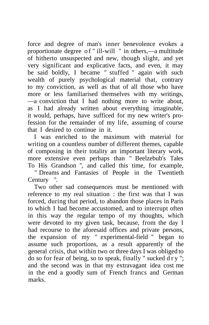force and degree of man's inner benevolence evokes a proportionate degree o f '' ill-will " in others,—a multitude of hitherto unsuspected and new, though slight, and yet very significant and explicative facts, and even, it may be said boldly, I became " stuffed " again with such wealth of purely psychological material that, contrary to my conviction, as well as that of all those who have more or less familiarised themselves with my writings, —a conviction that I had nothing more to write about, as I had already written about everything imaginable, it would, perhaps, have sufficed for my new writer's profession for the remainder of my life, assuming of course that I desired to continue in it.

I was enriched to the maximum with material for writing on a countless number of different themes, capable of composing in their totality an important literary work, more extensive even perhaps than " Beelzebub's Tales To His Grandson ", and called this time, for example,

" Dreams and Fantasies of People in the Twentieth Century ".

Two other sad consequences must be mentioned with reference to my real situation : the first was that I was forced, during that period, to abandon those places in Paris to which I had become accustomed, and to interrupt often in this way the regular tempo of my thoughts, which were devoted to my given task, because, from the day I had recourse to the aforesaid offices and private persons, the expansion of my " experimental-field " began to assume such proportions, as a result apparently of the general crisis, that within two or three days I was obliged to do so for fear of being, so to speak, finally " sucked  $d$ ry "; and the second was in that my extravagant idea cost me in the end a goodly sum of French francs and German marks.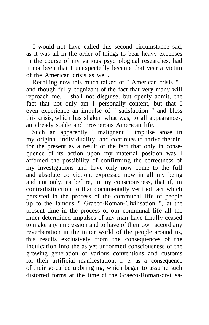I would not have called this second circumstance sad, as it was all in the order of things to bear heavy expenses in the course of my various psychological researches, had it not been that I unexpectedly became that year a victim of the American crisis as well.

Recalling now this much talked of '' American crisis " and though fully cognizant of the fact that very many will reproach me, I shall not disguise, but openly admit, the fact that not only am I personally content, but that I even experience an impulse of " satisfaction " and bless this crisis, which has shaken what was, to all appearances, an already stable and prosperous American life.

Such an apparently " malignant " impulse arose in my original individuality, and continues to thrive therein, for the present as a result of the fact that only in consequence of its action upon my material position was I afforded the possibility of confirming the correctness of my investigations and have only now come to the full and absolute conviction, expressed now in all my being and not only, as before, in my consciousness, that if, in contradistinction to that documentally verified fact which persisted in the process of the communal life of people up to the famous " Graeco-Roman-Civilisation ", at the present time in the process of our communal life all the inner determined impulses of any man have finally ceased to make any impression and to have of their own accord any reverberation in the inner world of the people around us, this results exclusively from the consequences of the inculcation into the as yet unformed consciousness of the growing generation of various conventions and customs for their artificial manifestation, i. e. as a consequence of their so-called upbringing, which began to assume such distorted forms at the time of the Graeco-Roman-civilisa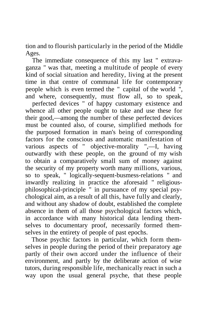tion and to flourish particularly in the period of the Middle Ages.

The immediate consequence of this my last " extravaganza '' was that, meeting a multitude of people of every kind of social situation and heredity, living at the present time in that centre of communal life for contemporary people which is even termed the '' capital of the world '', and where, consequently, must flow all, so to speak,

perfected devices " of happy customary existence and whence all other people ought to take and use these for their good,—among the number of these perfected devices must be counted also, of course, simplified methods for the purposed formation in man's being of corresponding factors for the conscious and automatic manifestation of various aspects of " objective-morality ",—I, having outwardly with these people, on the ground of my wish to obtain a comparatively small sum of money against the security of my property worth many millions, various, so to speak, " logically-sequent-busmess-relations " and inwardly realizing in practice the aforesaid " religiousphilosophical-principle " in pursuance of my special psychological aim, as a result of all this, have fully and clearly, and without any shadow of doubt, established the complete absence in them of all those psychological factors which, in accordance with many historical data lending themselves to documentary proof, necessarily formed themselves in the entirety of people of past epochs.

Those psychic factors in particular, which form themselves in people during the period of their preparatory age partly of their own accord under the influence of their environment, and partly by the deliberate action of wise tutors, during responsible life, mechanically react in such a way upon the usual general psyche, that these people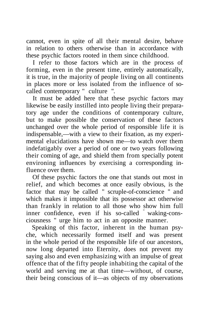cannot, even in spite of all their mental desire, behave in relation to others otherwise than in accordance with these psychic factors rooted in them since childhood.

I refer to those factors which are in the process of forming, even in the present time, entirely automatically, it is true, in the majority of people living on all continents in places more or less isolated from the influence of socalled contemporary " culture ".

It must be added here that these psychic factors may likewise be easily instilled into people living their preparatory age under the conditions of contemporary culture, but to make possible the conservation of these factors unchanged over the whole period of responsible life it is indispensable,—with a view to their fixation, as my experimental elucidations have shown me—to watch over them indefatigably over a period of one or two years following their coming of age, and shield them from specially potent environing influences by exercising a corresponding influence over them.

Of these psychic factors the one that stands out most in relief, and which becomes at once easily obvious, is the factor that may be called " scruple-of-conscience " and which makes it impossible that its possessor act otherwise than frankly in relation to all those who show him full inner confidence, even if his so-called waking-consciousness " urge him to act in an opposite manner.

Speaking of this factor, inherent in the human psyche, which necessarily formed itself and was present in the whole period of the responsible life of our ancestors, now long departed into Eternity, does not prevent my saying also and even emphasizing with an impulse of great offence that of the fifty people inhabiting the capital of the world and serving me at that time—without, of course, their being conscious of it—as objects of my observations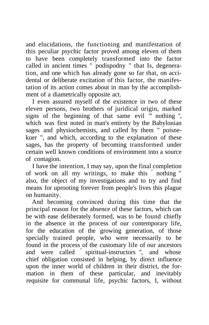and elucidations, the functioning and manifestation of this peculiar psychic factor proved among eleven of them to have been completely transformed into the factor called in ancient times " podispodny " that Is, degeneration, and one which has already gone so far that, on accidental or deliberate excitation of this factor, the manifestation of its action comes about in man by the accomplishment of a diametrically opposite act.

I even assured myself of the existence in two of these eleven persons, two brothers of juridical origin, marked signs of the beginning of that same evil **"** nothing ", which was first noted in man's entirety by the Babylonian sages and physiochemists, and called by them " poisnekuer '', and which, according to the explanation of these sages, has the property of becoming transformed under certain well known conditions of environment into a source of contagion.

I have the intention, I may say, upon the final completion of work on all my writings, to make this nothing " also, the object of my investigations and to try and find means for uprooting forever from people's lives this plague on humanity.

And becoming convinced during this time that the principal reason for the absence of these factors, which can be with ease deliberately formed, was to be found chiefly in the absence in the process of our contemporary life, for the education of the growing generation, of those specially trained people, who were necessarily to be found in the process of the customary life of our ancestors and were called spiritual-instructors ", and whose chief obligation consisted in helping, by direct influence upon the inner world of children in their district, the formation in them of these particular, and inevitably requisite for communal life, psychic factors, I, without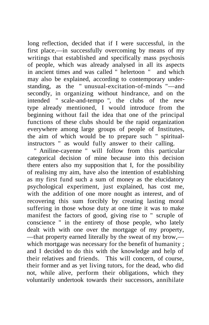long reflection, decided that if I were successful, in the first place,—in successfully overcoming by means of my writings that established and specifically mass psychosis of people, which was already analysed in all its aspects in ancient times and was called '' helertoon " and which may also be explained, according to contemporary understanding, as the " unusual-excitation-of-minds "—and secondly, in organizing without hindrance, and on the intended " scale-and-tempo ", the clubs of the new type already mentioned, I would introduce from the beginning without fail the idea that one of the principal functions of these clubs should be the rapid organization everywhere among large groups of people of Institutes, the aim of which would be to prepare such " spiritualinstructors " as would fully answer to their calling.

" Aniline-cayenne " will follow from this particular categorical decision of mine because into this decision there enters also my supposition that I, for the possibility of realising my aim, have also the intention of establishing as my first fund such a sum of money as the elucidatory psychological experiment, just explained, has cost me, with the addition of one more nought as interest, and of recovering this sum forcibly by creating lasting moral suffering in those whose duty at one time it was to make manifest the factors of good, giving rise to " scruple of conscience " in the entirety of those people, who lately dealt with with one over the mortgage of my property, —that property earned literally by the sweat of my brow, which mortgage was necessary for the benefit of humanity ; and I decided to do this with the knowledge and help of their relatives and friends. This will concern, of course, their former and as yet living tutors, for the dead, who did not, while alive, perform their obligations, which they voluntarily undertook towards their successors, annihilate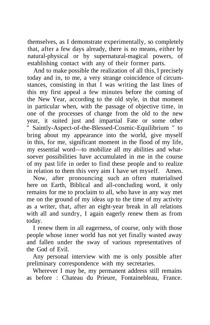themselves, as I demonstrate experimentally, so completely that, after a few days already, there is no means, either by natural-physical or by supernatural-magical powers, of establishing contact with any of their former parts.

And to make possible the realization of all this, I precisely today and in, to me, a very strange coincidence of circumstances, consisting in that I was writing the last lines of this my first appeal a few minutes before the coming of the New Year, according to the old style, in that moment in particular when, with the passage of objective time, in one of the processes of change from the old to the new year, it suited just and impartial Fate or some other " Saintly-Aspect-of-the-Blessed-Cosmic-Equilibrium '' to bring about my appearance into the world, give myself in this, for me, significant moment in the flood of my life, my essential word—to mobilize all my abilities and whatsoever possibilities have accumulated in me in the course of my past life in order to find these people and to realize in relation to them this very aim I have set myself. Amen.

Now, after pronouncing such an often materialised here on Earth, Biblical and all-concluding word, it only remains for me to proclaim to all, who have in any way met me on the ground of my ideas up to the time of my activity as a writer, that, after an eight-year break in all relations with all and sundry, I again eagerly renew them as from today.

I renew them in all eagerness, of course, only with those people whose inner world has not yet finally wasted away and fallen under the sway of various representatives of the God of Evil.

Any personal interview with me is only possible after preliminary correspondence with my secretaries.

Wherever I may be, my permanent address still remains as before : Chateau du Prieure, Fontainebleau, France.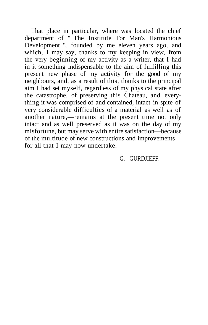That place in particular, where was located the chief department of " The Institute For Man's Harmonious Development ", founded by me eleven years ago, and which, I may say, thanks to my keeping in view, from the very beginning of my activity as a writer, that I had in it something indispensable to the aim of fulfilling this present new phase of my activity for the good of my neighbours, and, as a result of this, thanks to the principal aim I had set myself, regardless of my physical state after the catastrophe, of preserving this Chateau, and everything it was comprised of and contained, intact in spite of very considerable difficulties of a material as well as of another nature,—remains at the present time not only intact and as well preserved as it was on the day of my misfortune, but may serve with entire satisfaction—because of the multitude of new constructions and improvements for all that I may now undertake.

### G. GURDJIEFF.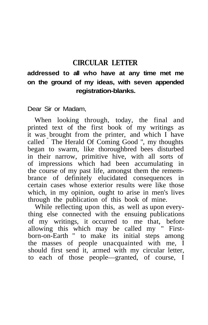# **CIRCULAR LETTER**

## **addressed to all who have at any time met me on the ground of my ideas, with seven appended registration-blanks.**

Dear Sir or Madam,

When looking through, today, the final and printed text of the first book of my writings as it was brought from the printer, and which I have called " The Herald Of Coming Good ", my thoughts began to swarm, like thoroughbred bees disturbed in their narrow, primitive hive, with all sorts of of impressions which had been accumulating in the course of my past life, amongst them the remembrance of definitely elucidated consequences in certain cases whose exterior results were like those which, in my opinion, ought to arise in men's lives through the publication of this book of mine.

While reflecting upon this, as well as upon everything else connected with the ensuing publications of my writings, it occurred to me that, before allowing this which may be called my " Firstborn-on-Earth " to make its initial steps among the masses of people unacquainted with me, I should first send it, armed with my circular letter, to each of those people—granted, of course, I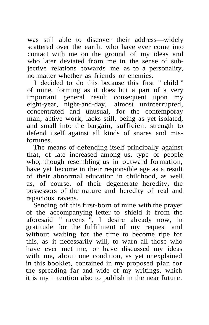was still able to discover their address—widely scattered over the earth, who have ever come into contact with me on the ground of my ideas and who later deviated from me in the sense of subjective relations towards me as to a personality, no matter whether as friends or enemies.

I decided to do this because this first " child " of mine, forming as it does but a part of a very important general result consequent upon my eight-year, night-and-day, almost uninterrupted, concentrated and unusual, for the contemporay man, active work, lacks still, being as yet isolated, and small into the bargain, sufficient strength to defend itself against all kinds of snares and misfortunes.

The means of defending itself principally against that, of late increased among us, type of people who, though resembling us in outward formation, have yet become in their responsible age as a result of their abnormal education in childhood, as well as, of course, of their degenerate heredity, the possessors of the nature and heredity of real and rapacious ravens.

Sending off this first-born of mine with the prayer of the accompanying letter to shield it from the aforesaid " ravens ", I desire already now, in gratitude for the fulfilment of my request and without waiting for the time to become ripe for this, as it necessarily will, to warn all those who have ever met me, or have discussed my ideas with me, about one condition, as yet unexplained in this booklet, contained in my proposed plan for the spreading far and wide of my writings, which it is my intention also to publish in the near future.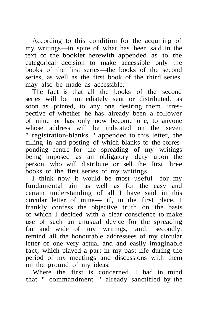According to this condition for the acquiring of my writings—in spite of what has been said in the text of the booklet herewith appended as to the categorical decision to make accessible only the books of the first series—the books of the second series, as well as the first book of the third series, may also be made as accessible.

The fact is that all the books of the second series will be immediately sent or distributed, as soon as printed, to any one desiring them, irrespective of whether he has already been a follower of mine or has only now become one, to anyone whose address will be indicated on the seven " registration-blanks '' appended to this letter, the filling in and posting of which blanks to the corresponding centre for the spreading of my writings being imposed as an obligatory duty upon the person, who will distribute or sell the first three books of the first series of my writings.

I think now it would be most useful—for my fundamental aim as well as for the easy and certain understanding of all I have said in this circular letter of mine— if, in the first place, I frankly confess the objective truth on the basis of which I decided with a clear conscience to make use of such an unusual device for the spreading far and wide of my writings, and, secondly, remind all the honourable addressees of my circular letter of one very actual and and easily imaginable fact, which played a part in my past life during the period of my meetings and discussions with them on the ground of my ideas.

Where the first is concerned, I had in mind that " commandment " already sanctified by the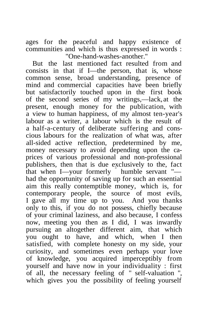ages for the peaceful and happy existence of communities and which is thus expressed in words : "One-hand-washes-another.''

But the last mentioned fact resulted from and consists in that if I—the person, that is, whose common sense, broad understanding, presence of mind and commercial capacities have been briefly but satisfactorily touched upon in the first book of the second series of my writings,—lack, at the present, enough money for the publication, with a view to human happiness, of my almost ten-year's labour as a writer. a labour which is the result of a half-a-century of deliberate suffering and conscious labours for the realization of what was, after all-sided active reflection, predetermined by me, money necessary to avoid depending upon the caprices of various professional and non-professional publishers, then that is due exclusively to the fact that when I—your formerly <sup>"</sup> humble servant " had the opportunity of saving up for such an essential aim this really contemptible money, which is, for contemporary people, the source of most evils, I gave all my time up to you. And you thanks only to this, if you do not possess, chiefly because of your criminal laziness, and also because, I confess now, meeting you then as I did, I was inwardly pursuing an altogether different aim, that which you ought to have, and which, when I then satisfied, with complete honesty on my side, your curiosity, and sometimes even perhaps your love of knowledge, you acquired imperceptibly from yourself and have now in your individuality : first of all, the necessary feeling of " self-valuation ", which gives you the possibility of feeling yourself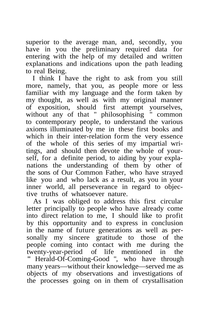superior to the average man, and, secondly, you have in you the preliminary required data for entering with the help of my detailed and written explanations and indications upon the path leading to real Being.

I think I have the right to ask from you still more, namely, that you, as people more or less familiar with my language and the form taken by my thought, as well as with my original manner of exposition, should first attempt yourselves, without any of that " philosophising " common to contemporary people, to understand the various axioms illuminated by me in these first books and which in their inter-relation form the very essence of the whole of this series of my impartial writings, and should then devote the whole of yourself, for a definite period, to aiding by your explanations the understanding of them by other of the sons of Our Common Father, who have strayed like you and who lack as a result, as you in your inner world, all perseverance in regard to objective truths of whatsoever nature.

As I was obliged to address this first circular letter principally to people who have already come into direct relation to me, I should like to profit by this opportunity and to express in conclusion in the name of future generations as well as personally my sincere gratitude to those of the people coming into contact with me during the twenty-year-period of life mentioned in the **"** Herald-Of-Coming-Good ", who have through many years—without their knowledge—served me as objects of my observations and investigations of the processes going on in them of crystallisation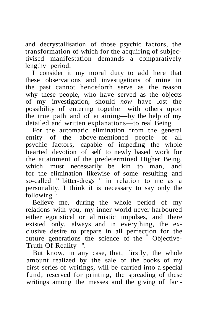and decrystallisation of those psychic factors, the transformation of which for the acquiring of subjectivised manifestation demands a comparatively lengthy period.

I consider it my moral duty to add here that these observations and investigations of mine in the past cannot henceforth serve as the reason why these people, who have served as the objects of my investigation, should *now* have lost the possibility of entering together with others upon the true path and of attaining—by the help of my detailed and written explanations—to real Being.

For the automatic elimination from the general entity of the above-mentioned people of all psychic factors, capable of impeding the whole hearted devotion of self to newly based work for the attainment of the predetermined Higher Being, which must necessarily be kin to man, and for the elimination likewise of some resulting and so-called " bitter-dregs " in relation to me as a personality, I think it is necessary to say only the following :-

Believe me, during the whole period of my relations with you, my inner world never harboured either egotistical or altruistic impulses, and there existed only, always and in everything, the exclusive desire to prepare in all perfection for the future generations the science of the Objective-Truth-Of-Reality ".

But know, in any case, that, firstly, the whole amount realized by the sale of the books of my first series of writings, will be carried into a special fund, reserved for printing, the spreading of these writings among the masses and the giving of faci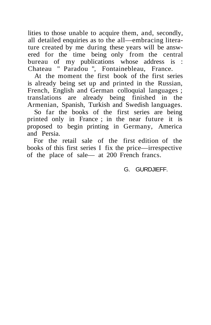lities to those unable to acquire them, and, secondly, all detailed enquiries as to the all—embracing literature created by me during these years will be answered for the time being only from the central bureau of my publications whose address is : Chateau " Paradou ", Fontainebleau, France.

At the moment the first book of the first series is already being set up and printed in the Russian, French, English and German colloquial languages ; translations are already being finished in the Armenian, Spanish, Turkish and Swedish languages.

So far the books of the first series are being printed only in France ; in the near future it is proposed to begin printing in Germany, America and Persia.

For the retail sale of the first edition of the books of this first series I fix the price—irrespective of the place of sale— at 200 French francs.

G. GURDJIEFF.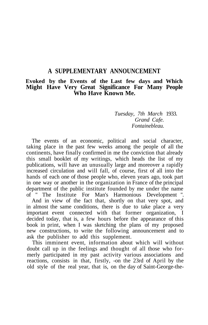## **A SUPPLEMENTARY ANNOUNCEMENT**

#### **Evoked by the Events of the Last few days and Which Might Have Very Great Significance For Many People Who Have Known Me.**

*Tuesday, 7th March* 1933. *Grand Cafe. Fontainebleau.* 

The events of an economic, political and social character, taking place in the past few weeks among the people of all the continents, have finally confirmed in me the conviction that already this small booklet of my writings, which heads the list of my publications, will have an unusually large and moreover a rapidly increased circulation and will fall, of course, first of all into the hands of each one of those people who, eleven years ago, took part in one way or another in the organization in France of the principal department of the public institute founded by me under the name of " The Institute For Man's Harmonious Development ".

And in view of the fact that, shortly on that very spot, and in almost the same conditions, there is due to take place a very important event connected with that former organization, decided today, that is, a few hours before the appearance of this book in print, when I was sketching the plans of my proposed new constructions, to write the following announcement and to ask the publisher to add this supplement. I

This imminent event, information about which will without doubt call up in the feelings and thought of all those who formerly participated in my past activity various associations and reactions, consists in that, firstly, -on the 23rd of April by the old style of the real year, that is, on the day of Saint-George-the-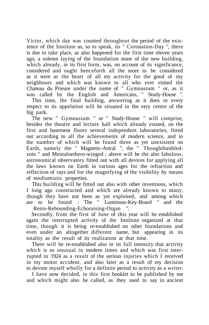Victor, which day was counted throughout the period of the existence of the Institute as, so to speak, its " Coronation-Day ", there is due to take place, as also happened for the first time eleven years ago, a solemn laying of the foundation stone of the new building, which already, in its first form, was, on account of its significance, considered and ought henceforth all the more to be considered as it were as the heart of all my activity for the good of my neighbours and which was known to all who ever visited the Chateau du Prieure under the name of " Gymnasium " or, as it was called by the English and Americans, " Study-House ".

This time, the final building, answering as it does in every respect to its appelation will be situated in the very centre of the big park.

The new " Gymnasium " or " Study-House " will comprise, besides the theatre and lecture hall which already existed, on the first and basement floors several independent laboratories, fitted out according to all the achievements of modern science, and in the number of which will be found three as yet unexistent on Earth, namely the " Magnetic-Astral ", the " Thoughthanbledzoin " and Mentaloethero-winged ; above will be the also fabulous, astronomical observatory fitted out with all devices for applying all the laws known on Earth in various ages for the refraction and reflection of rays and for the magnifying of the visibility by means of mediumistic properties.

This building will be fitted out also with other inventions, which I long ago constructed and which are already known to many, though they have not been as yet exploited, and among which are to be found : The " Luminous-Key-Board " and the

Retro-Rebounding-Echoraising-Organ ".

Secondly, from the first of June of this year will be established again the interrupted activity of the Institute organized at that time, though it is being re-established on other foundations and even under an altogether different name, but appearing in its totality as the result of its realization at that time.

There will be re-established also in its full intensity that activity which is so unusual in modern times and which was first interrupted in 1924 as a result of the serious injuries which I received in my motor accident, and also later as a result of my decision to devote myself wholly for a definite period to activity as a writer.

I have now decided, in this first booklet to be published by me and which might also be called, as they used to say in ancient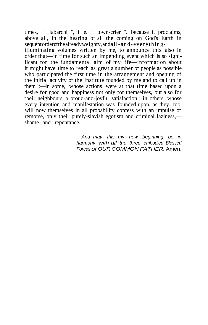times, " Habarchi ", i. e. " town-crier ", because it proclaims, above all, in the hearing of all the coming on God's Earth in sequentorderofthealreadyweighty,andall-and-everything-

illuminating volumes written by me, to announce this also in order that—in time for such an impending event which is so significant for the fundamental aim of my life—information about it might have time to reach as great a number of people as possible who participated the first time in the arrangement and opening of the initial activity of the Institute founded by me and to call up in them :—in some, whose actions were at that time based upon a desire for good and happiness not only for themselves, but also for their neighbours, a proud-and-joyful satisfaction ; in others, whose every intention and manifestation was founded upon, as they, too, will now themselves in all probability confess with an impulse of remorse, only their purely-slavish egotism and criminal laziness, shame and repentance.

> *And may this my new beginning be in harmony with all the three embodied Blessed Forces of OUR COMMON FATHER.* Amen.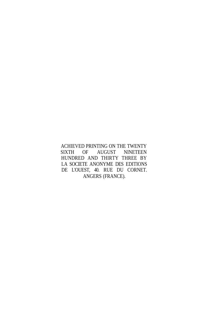ACHIEVED PRINTING ON THE TWENTY SIXTH OF AUGUST NINETEEN HUNDRED AND THIRTY THREE BY LA SOCIETE ANONYME DES EDITIONS DE L'OUEST, 40. RUE DU CORNET. ANGERS (FRANCE).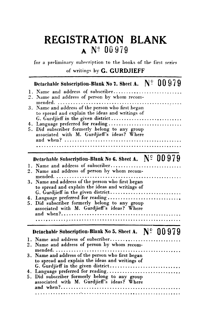# REGISTRATION BLANK  $A N^2 00979$

for a preliminary subscription to the books of the first series

of writings by G. GURDJIEFF

|          | Detachable Subscription-Blank No 7. Sheet A. $\,$ N $^{\circ}$ $\,$ $\,00\,979$                                                         |  |  |
|----------|-----------------------------------------------------------------------------------------------------------------------------------------|--|--|
|          | 1. Name and address of subscriber<br>2. Name and address of person by whom recom-                                                       |  |  |
| 3.       | Name and address of the person who first began<br>to spread and explain the ideas and writings of<br>G. Gurdjieff in the given district |  |  |
| 4.<br>5. | Language preferred for reading<br>Did subscriber formerly belong to any group                                                           |  |  |
|          | associated with M. Gurdjieff's ideas? Where                                                                                             |  |  |
|          |                                                                                                                                         |  |  |
|          | Detachable Subscription-Blank No 6. Sheet A. $\,$ N $\,^{\circ}$ $\,$ 00 $979$                                                          |  |  |
| 2.       | 1. Name and address of subscriber<br>Name and address of person by whom recom-                                                          |  |  |
|          | 3. Name and address of the person who first began                                                                                       |  |  |
|          | to spread and explain the ideas and writings of<br>G. Gurdjieff in the given district                                                   |  |  |
|          | 4. Language preferred for reading                                                                                                       |  |  |
| 5.       | Did subscriber formerly belong to any group<br>associated with M. Gurdjieff's ideas? Where                                              |  |  |
|          |                                                                                                                                         |  |  |
|          |                                                                                                                                         |  |  |
|          | Detachable Subscription-Blank No 5. Sheet A. $N^{\circ}$ 00979                                                                          |  |  |
|          | 1. Name and address of subscriber<br>2. Name and address of person by whom recom-                                                       |  |  |
|          | Name and address of the person who first began                                                                                          |  |  |
| 3.       | to spread and explain the ideas and writings of<br>G. Gurdjieff in the given district                                                   |  |  |
|          | 4. Language preferred for reading                                                                                                       |  |  |
| 5.       | Did subscriber formerly belong to any group<br>associated with M. Gurdjieff's ideas? Where                                              |  |  |
|          |                                                                                                                                         |  |  |